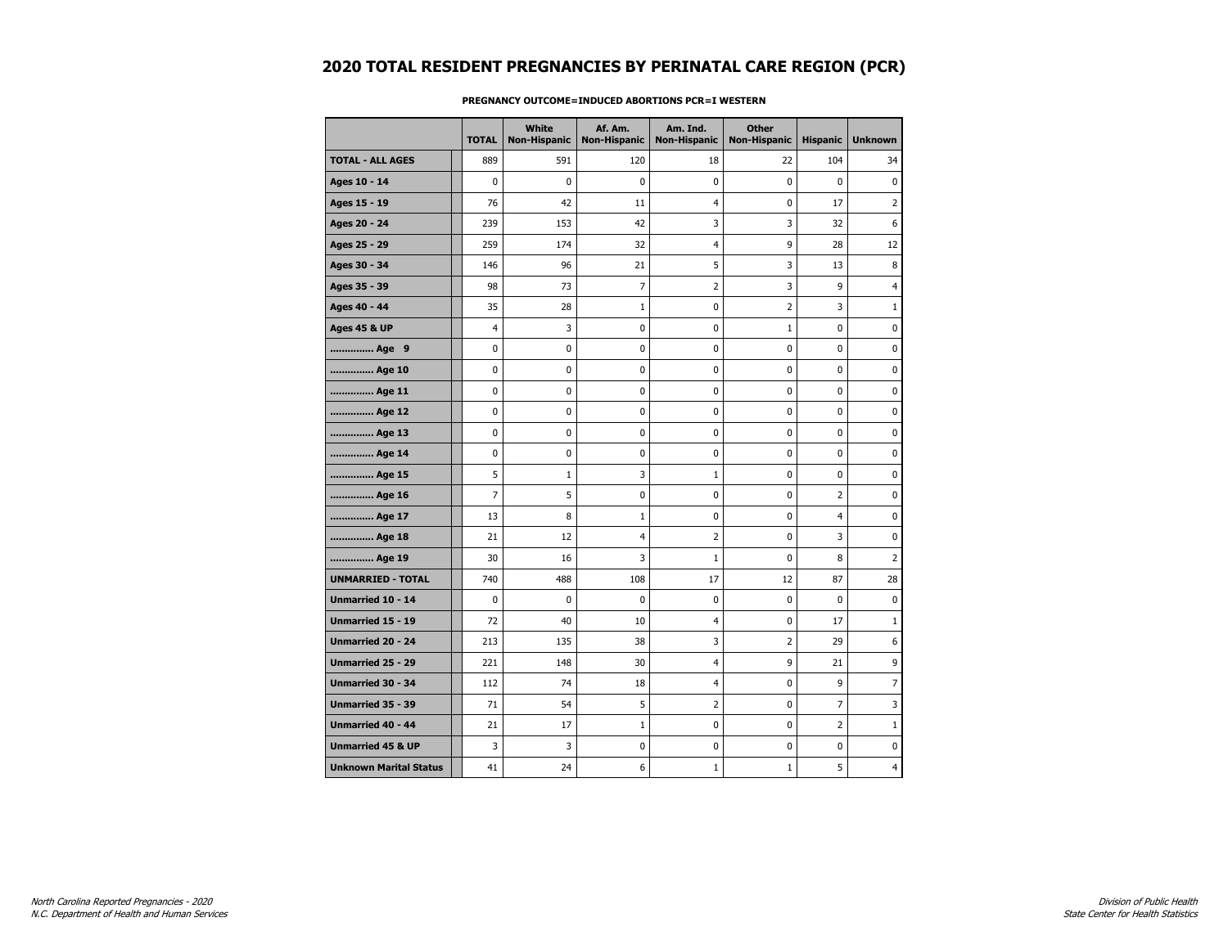|                               | <b>TOTAL</b>   | White<br><b>Non-Hispanic</b> | Af. Am.<br><b>Non-Hispanic</b> | Am. Ind.<br><b>Non-Hispanic</b> | <b>Other</b><br><b>Non-Hispanic</b> | <b>Hispanic</b> | <b>Unknown</b> |
|-------------------------------|----------------|------------------------------|--------------------------------|---------------------------------|-------------------------------------|-----------------|----------------|
| <b>TOTAL - ALL AGES</b>       | 889            | 591                          | 120                            | 18                              | 22                                  | 104             | 34             |
| Ages 10 - 14                  | 0              | $\mathbf 0$                  | 0                              | 0                               | 0                                   | 0               | $\mathbf 0$    |
| Ages 15 - 19                  | 76             | 42                           | 11                             | 4                               | 0                                   | 17              | $\overline{2}$ |
| Ages 20 - 24                  | 239            | 153                          | 42                             | 3                               | 3                                   | 32              | 6              |
| Ages 25 - 29                  | 259            | 174                          | 32                             | 4                               | 9                                   | 28              | 12             |
| Ages 30 - 34                  | 146            | 96                           | 21                             | 5                               | 3                                   | 13              | 8              |
| Ages 35 - 39                  | 98             | 73                           | 7                              | 2                               | 3                                   | 9               | $\overline{4}$ |
| Ages 40 - 44                  | 35             | 28                           | 1                              | 0                               | $\overline{2}$                      | 3               | $\mathbf{1}$   |
| <b>Ages 45 &amp; UP</b>       | 4              | 3                            | 0                              | 0                               | $1\,$                               | 0               | $\mathbf 0$    |
| Age 9                         | 0              | 0                            | $\pmb{0}$                      | 0                               | 0                                   | 0               | $\pmb{0}$      |
| Age 10                        | 0              | 0                            | 0                              | 0                               | 0                                   | 0               | 0              |
| Age 11                        | 0              | 0                            | 0                              | 0                               | 0                                   | 0               | 0              |
| Age 12                        | 0              | $\mathbf 0$                  | 0                              | 0                               | 0                                   | 0               | $\mathbf 0$    |
| Age 13                        | 0              | 0                            | 0                              | 0                               | 0                                   | 0               | 0              |
| Age 14                        | 0              | 0                            | 0                              | 0                               | 0                                   | 0               | 0              |
| Age 15                        | 5              | $\mathbf{1}$                 | 3                              | $\mathbf 1$                     | 0                                   | 0               | $\mathbf 0$    |
| Age 16                        | $\overline{7}$ | 5                            | $\mathbf 0$                    | 0                               | 0                                   | $\overline{2}$  | $\mathbf 0$    |
| Age 17                        | 13             | 8                            | 1                              | 0                               | 0                                   | $\overline{4}$  | 0              |
| Age 18                        | 21             | 12                           | 4                              | 2                               | 0                                   | 3               | 0              |
| Age 19                        | 30             | 16                           | 3                              | $\mathbf{1}$                    | 0                                   | 8               | $\overline{2}$ |
| <b>UNMARRIED - TOTAL</b>      | 740            | 488                          | 108                            | 17                              | 12                                  | 87              | 28             |
| Unmarried 10 - 14             | 0              | $\mathbf 0$                  | 0                              | 0                               | 0                                   | 0               | 0              |
| Unmarried 15 - 19             | 72             | 40                           | 10                             | $\overline{4}$                  | 0                                   | 17              | $\mathbf{1}$   |
| <b>Unmarried 20 - 24</b>      | 213            | 135                          | 38                             | 3                               | $\overline{2}$                      | 29              | 6              |
| Unmarried 25 - 29             | 221            | 148                          | 30                             | 4                               | 9                                   | 21              | 9              |
| Unmarried 30 - 34             | 112            | 74                           | 18                             | 4                               | 0                                   | 9               | $\overline{7}$ |
| Unmarried 35 - 39             | 71             | 54                           | 5                              | 2                               | 0                                   | 7               | 3              |
| <b>Unmarried 40 - 44</b>      | 21             | 17                           | $\mathbf{1}$                   | 0                               | 0                                   | $\overline{2}$  | $\mathbf{1}$   |
| <b>Unmarried 45 &amp; UP</b>  | 3              | 3                            | 0                              | 0                               | 0                                   | 0               | 0              |
| <b>Unknown Marital Status</b> | 41             | 24                           | 6                              | $\mathbf{1}$                    | $\mathbf{1}$                        | 5               | 4              |

### **PREGNANCY OUTCOME=INDUCED ABORTIONS PCR=I WESTERN**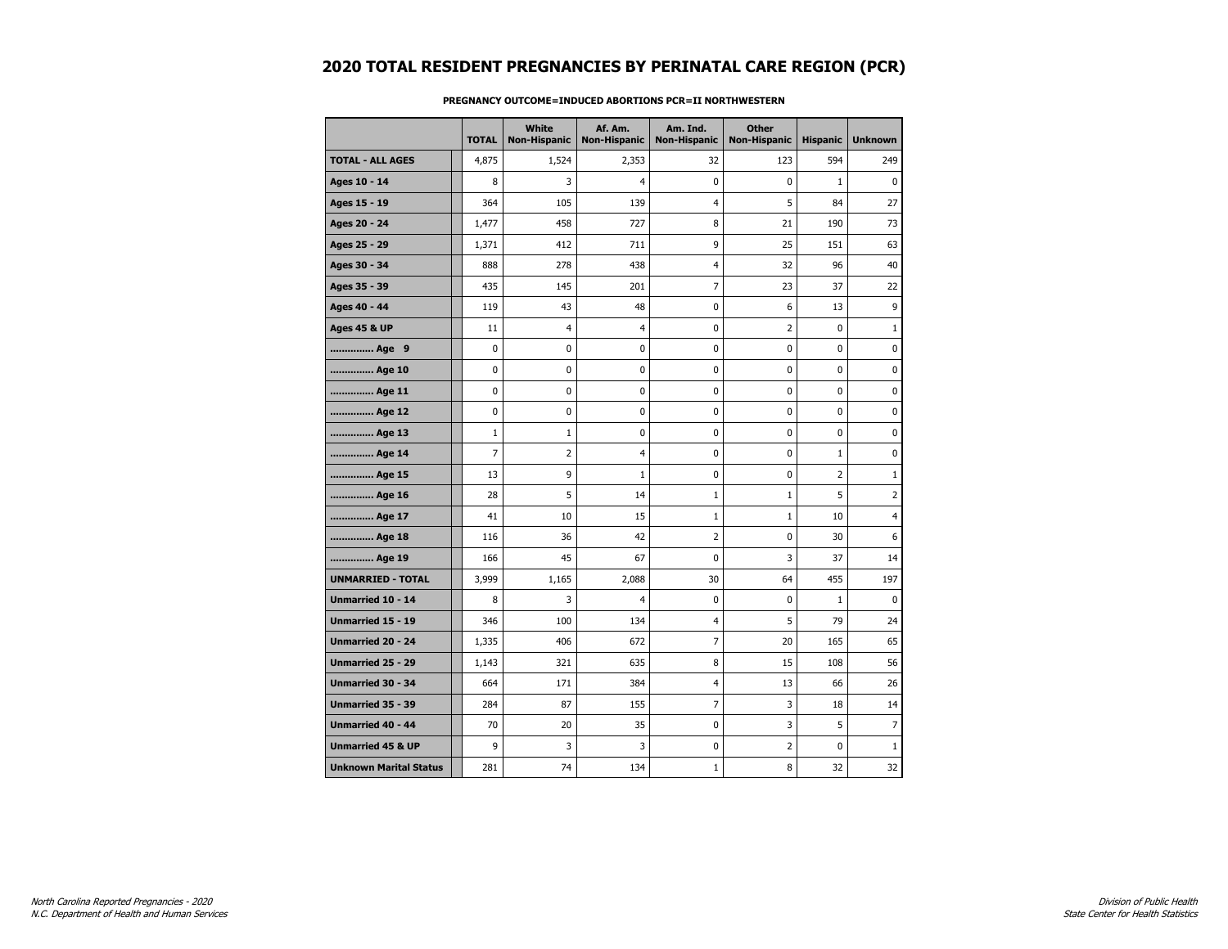|                               | <b>TOTAL</b> | White<br><b>Non-Hispanic</b> | Af. Am.<br><b>Non-Hispanic</b> | Am. Ind.<br><b>Non-Hispanic</b> | <b>Other</b><br><b>Non-Hispanic</b> | <b>Hispanic</b> | <b>Unknown</b> |
|-------------------------------|--------------|------------------------------|--------------------------------|---------------------------------|-------------------------------------|-----------------|----------------|
| <b>TOTAL - ALL AGES</b>       | 4,875        | 1,524                        | 2,353                          | 32                              | 123                                 | 594             | 249            |
| Ages 10 - 14                  | 8            | 3                            | $\overline{4}$                 | $\mathbf 0$                     | 0                                   | $\mathbf{1}$    | $\mathbf 0$    |
| Ages 15 - 19                  | 364          | 105                          | 139                            | 4                               | 5                                   | 84              | 27             |
| Ages 20 - 24                  | 1,477        | 458                          | 727                            | 8                               | 21                                  | 190             | 73             |
| Ages 25 - 29                  | 1,371        | 412                          | 711                            | 9                               | 25                                  | 151             | 63             |
| Ages 30 - 34                  | 888          | 278                          | 438                            | $\overline{4}$                  | 32                                  | 96              | 40             |
| Ages 35 - 39                  | 435          | 145                          | 201                            | 7                               | 23                                  | 37              | 22             |
| Ages 40 - 44                  | 119          | 43                           | 48                             | 0                               | 6                                   | 13              | 9              |
| <b>Ages 45 &amp; UP</b>       | 11           | $\overline{4}$               | $\overline{4}$                 | 0                               | $\overline{2}$                      | 0               | $\mathbf{1}$   |
| Age 9                         | $\pmb{0}$    | 0                            | 0                              | 0                               | 0                                   | 0               | 0              |
| Age 10                        | 0            | 0                            | 0                              | 0                               | 0                                   | 0               | 0              |
| Age 11                        | 0            | 0                            | 0                              | 0                               | 0                                   | 0               | 0              |
| Age 12                        | 0            | 0                            | $\mathbf 0$                    | $\mathbf 0$                     | 0                                   | 0               | $\mathbf 0$    |
| Age 13                        | $\mathbf 1$  | $1\,$                        | 0                              | 0                               | 0                                   | 0               | 0              |
| Age 14                        | 7            | 2                            | 4                              | 0                               | 0                                   | $\mathbf{1}$    | 0              |
| Age 15                        | 13           | 9                            | $\mathbf{1}$                   | 0                               | 0                                   | $\overline{2}$  | $\mathbf{1}$   |
| Age 16                        | 28           | 5                            | 14                             | $\mathbf{1}$                    | $\mathbf{1}$                        | 5               | $\overline{2}$ |
| Age 17                        | 41           | 10                           | 15                             | $\mathbf{1}$                    | $1\,$                               | 10              | 4              |
| Age 18                        | 116          | 36                           | 42                             | $\overline{2}$                  | 0                                   | 30              | 6              |
| Age 19                        | 166          | 45                           | 67                             | 0                               | 3                                   | 37              | 14             |
| <b>UNMARRIED - TOTAL</b>      | 3,999        | 1,165                        | 2,088                          | 30                              | 64                                  | 455             | 197            |
| Unmarried 10 - 14             | 8            | 3                            | $\overline{4}$                 | 0                               | 0                                   | $\mathbf 1$     | $\mathbf 0$    |
| <b>Unmarried 15 - 19</b>      | 346          | 100                          | 134                            | 4                               | 5                                   | 79              | 24             |
| <b>Unmarried 20 - 24</b>      | 1,335        | 406                          | 672                            | 7                               | 20                                  | 165             | 65             |
| <b>Unmarried 25 - 29</b>      | 1,143        | 321                          | 635                            | 8                               | 15                                  | 108             | 56             |
| <b>Unmarried 30 - 34</b>      | 664          | 171                          | 384                            | 4                               | 13                                  | 66              | 26             |
| <b>Unmarried 35 - 39</b>      | 284          | 87                           | 155                            | $\overline{7}$                  | 3                                   | 18              | 14             |
| <b>Unmarried 40 - 44</b>      | 70           | 20                           | 35                             | $\mathbf 0$                     | 3                                   | 5               | $\overline{7}$ |
| <b>Unmarried 45 &amp; UP</b>  | 9            | 3                            | 3                              | 0                               | 2                                   | 0               | $\mathbf{1}$   |
| <b>Unknown Marital Status</b> | 281          | 74                           | 134                            | $\mathbf{1}$                    | 8                                   | 32              | 32             |

### **PREGNANCY OUTCOME=INDUCED ABORTIONS PCR=II NORTHWESTERN**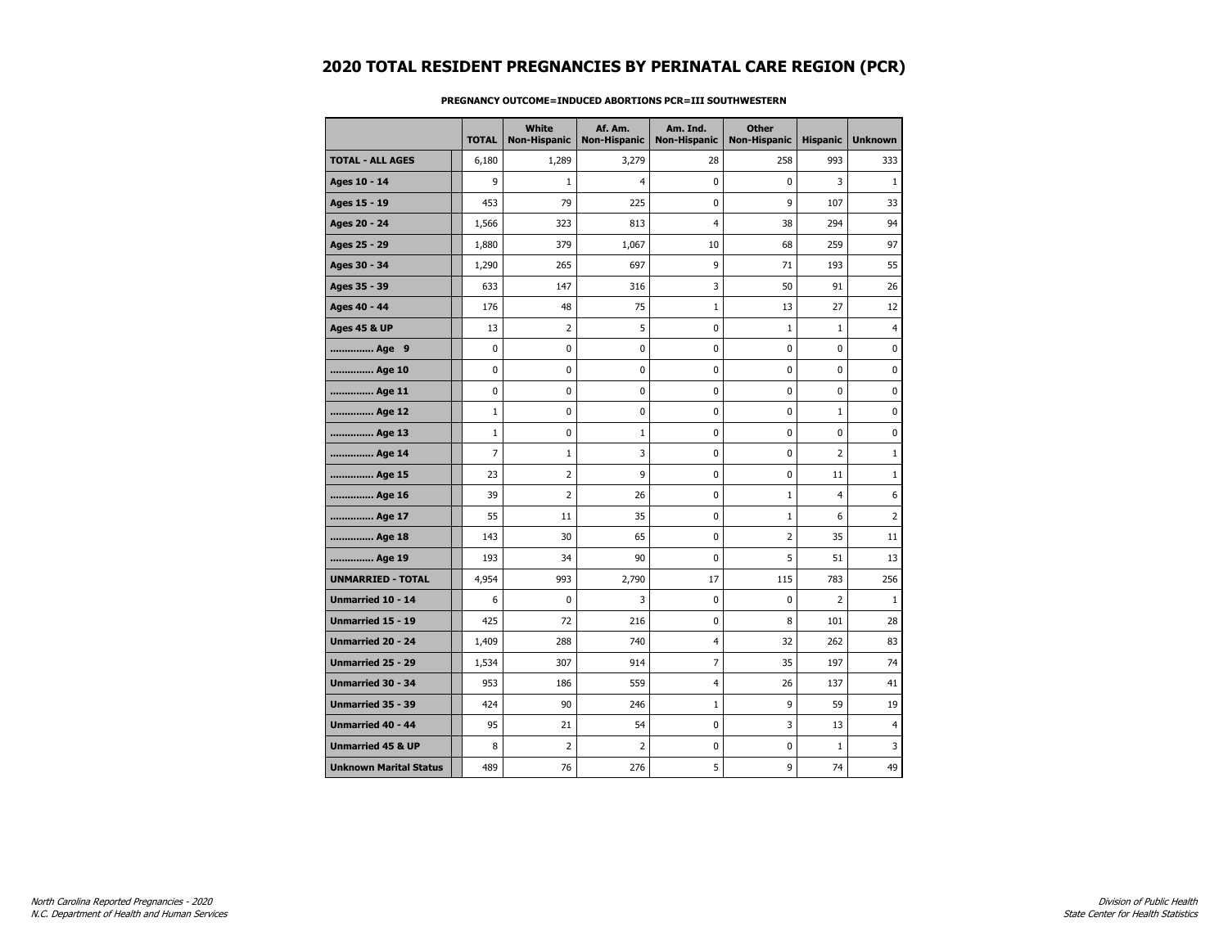|                               | <b>TOTAL</b> | White<br><b>Non-Hispanic</b> | Af. Am.<br><b>Non-Hispanic</b> | Am. Ind.<br><b>Non-Hispanic</b> | <b>Other</b><br><b>Non-Hispanic</b> | <b>Hispanic</b> | <b>Unknown</b> |
|-------------------------------|--------------|------------------------------|--------------------------------|---------------------------------|-------------------------------------|-----------------|----------------|
| <b>TOTAL - ALL AGES</b>       | 6,180        | 1,289                        | 3,279                          | 28                              | 258                                 | 993             | 333            |
| Ages 10 - 14                  | 9            | $\mathbf{1}$                 | $\overline{4}$                 | $\mathbf 0$                     | $\mathbf 0$                         | 3               | $\mathbf{1}$   |
| Ages 15 - 19                  | 453          | 79                           | 225                            | 0                               | 9                                   | 107             | 33             |
| Ages 20 - 24                  | 1,566        | 323                          | 813                            | 4                               | 38                                  | 294             | 94             |
| Ages 25 - 29                  | 1,880        | 379                          | 1,067                          | 10                              | 68                                  | 259             | 97             |
| Ages 30 - 34                  | 1,290        | 265                          | 697                            | 9                               | 71                                  | 193             | 55             |
| Ages 35 - 39                  | 633          | 147                          | 316                            | 3                               | 50                                  | 91              | 26             |
| Ages 40 - 44                  | 176          | 48                           | 75                             | $\mathbf{1}$                    | 13                                  | 27              | 12             |
| <b>Ages 45 &amp; UP</b>       | 13           | 2                            | 5                              | 0                               | $\mathbf{1}$                        | $\mathbf{1}$    | $\overline{4}$ |
| Age 9                         | 0            | 0                            | $\pmb{0}$                      | 0                               | 0                                   | 0               | 0              |
| Age 10                        | 0            | 0                            | 0                              | 0                               | 0                                   | 0               | 0              |
| Age 11                        | 0            | 0                            | 0                              | 0                               | 0                                   | $\mathbf 0$     | 0              |
| Age 12                        | $\mathbf 1$  | 0                            | 0                              | 0                               | 0                                   | $\mathbf{1}$    | $\mathbf 0$    |
| Age 13                        | $\mathbf 1$  | 0                            | 1                              | 0                               | $\bf{0}$                            | 0               | 0              |
| Age 14                        | 7            | $\mathbf{1}$                 | 3                              | 0                               | 0                                   | $\overline{2}$  | $\mathbf{1}$   |
| Age 15                        | 23           | 2                            | 9                              | 0                               | $\mathbf 0$                         | 11              | $\mathbf{1}$   |
| Age 16                        | 39           | $\overline{2}$               | 26                             | 0                               | $\mathbf 1$                         | 4               | 6              |
| Age 17                        | 55           | 11                           | 35                             | 0                               | $\mathbf 1$                         | 6               | $\overline{2}$ |
| Age 18                        | 143          | 30                           | 65                             | 0                               | 2                                   | 35              | 11             |
| Age 19                        | 193          | 34                           | 90                             | 0                               | 5                                   | 51              | 13             |
| <b>UNMARRIED - TOTAL</b>      | 4,954        | 993                          | 2,790                          | 17                              | 115                                 | 783             | 256            |
| Unmarried 10 - 14             | 6            | 0                            | 3                              | 0                               | $\mathbf 0$                         | $\overline{2}$  | $1\,$          |
| <b>Unmarried 15 - 19</b>      | 425          | 72                           | 216                            | 0                               | 8                                   | 101             | 28             |
| <b>Unmarried 20 - 24</b>      | 1,409        | 288                          | 740                            | 4                               | 32                                  | 262             | 83             |
| <b>Unmarried 25 - 29</b>      | 1,534        | 307                          | 914                            | 7                               | 35                                  | 197             | 74             |
| <b>Unmarried 30 - 34</b>      | 953          | 186                          | 559                            | 4                               | 26                                  | 137             | 41             |
| Unmarried 35 - 39             | 424          | 90                           | 246                            | $\mathbf{1}$                    | 9                                   | 59              | 19             |
| <b>Unmarried 40 - 44</b>      | 95           | 21                           | 54                             | 0                               | 3                                   | 13              | $\overline{4}$ |
| <b>Unmarried 45 &amp; UP</b>  | 8            | $\overline{2}$               | 2                              | 0                               | 0                                   | $\mathbf{1}$    | 3              |
| <b>Unknown Marital Status</b> | 489          | 76                           | 276                            | 5                               | 9                                   | 74              | 49             |

### **PREGNANCY OUTCOME=INDUCED ABORTIONS PCR=III SOUTHWESTERN**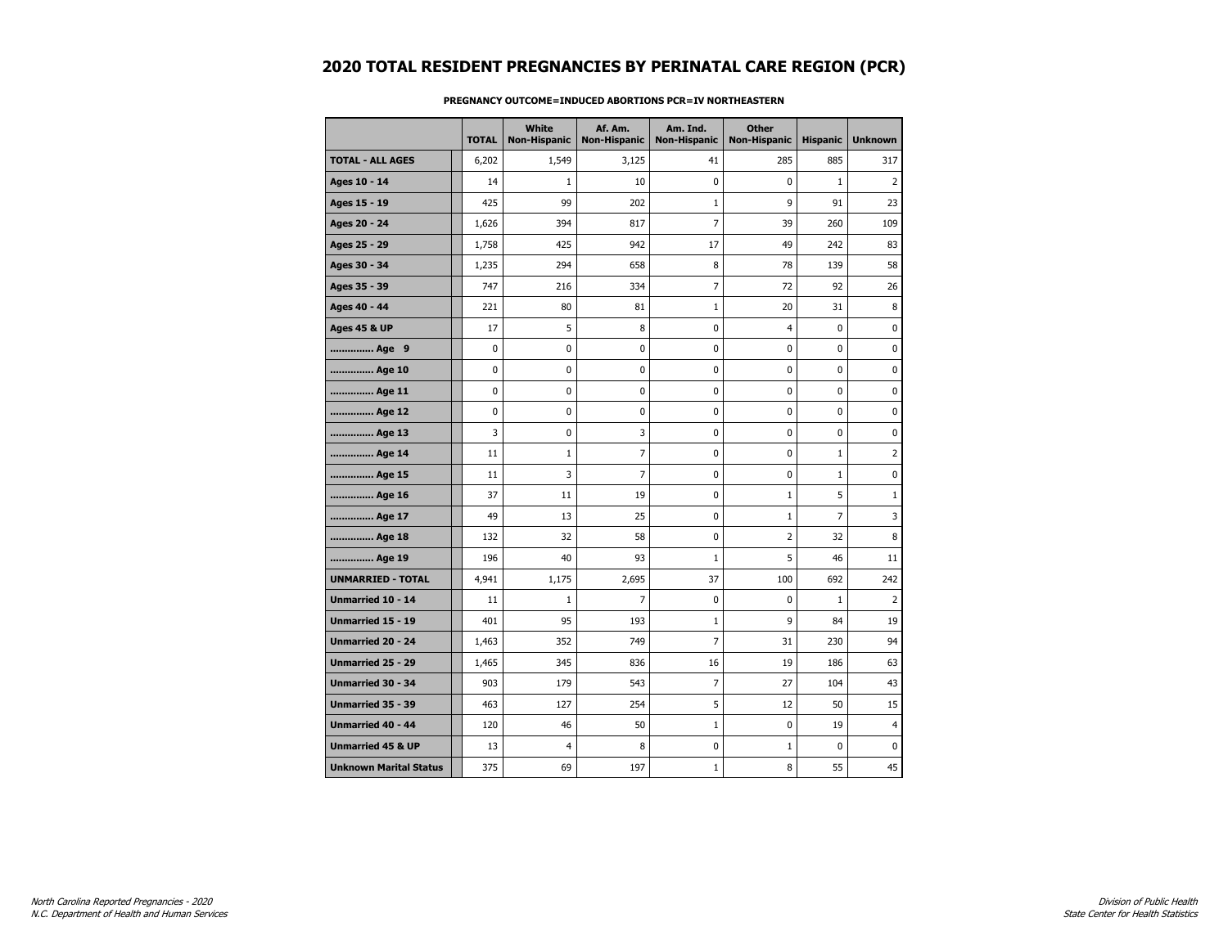|                               | <b>TOTAL</b> | White<br><b>Non-Hispanic</b> | Af. Am.<br><b>Non-Hispanic</b> | Am. Ind.<br><b>Non-Hispanic</b> | <b>Other</b><br><b>Non-Hispanic</b> | <b>Hispanic</b> | <b>Unknown</b> |
|-------------------------------|--------------|------------------------------|--------------------------------|---------------------------------|-------------------------------------|-----------------|----------------|
| <b>TOTAL - ALL AGES</b>       | 6,202        | 1,549                        | 3,125                          | 41                              | 285                                 | 885             | 317            |
| Ages 10 - 14                  | 14           | $\mathbf{1}$                 | 10                             | $\mathbf{0}$                    | 0                                   | $\mathbf{1}$    | $\overline{2}$ |
| Ages 15 - 19                  | 425          | 99                           | 202                            | $\mathbf{1}$                    | 9                                   | 91              | 23             |
| Ages 20 - 24                  | 1,626        | 394                          | 817                            | 7                               | 39                                  | 260             | 109            |
| Ages 25 - 29                  | 1,758        | 425                          | 942                            | 17                              | 49                                  | 242             | 83             |
| Ages 30 - 34                  | 1,235        | 294                          | 658                            | 8                               | 78                                  | 139             | 58             |
| Ages 35 - 39                  | 747          | 216                          | 334                            | $\overline{7}$                  | 72                                  | 92              | 26             |
| Ages 40 - 44                  | 221          | 80                           | 81                             | 1                               | 20                                  | 31              | 8              |
| <b>Ages 45 &amp; UP</b>       | 17           | 5                            | 8                              | 0                               | 4                                   | $\mathbf 0$     | $\mathbf 0$    |
| Age 9                         | 0            | 0                            | 0                              | 0                               | 0                                   | 0               | 0              |
| Age 10                        | $\mathbf 0$  | 0                            | 0                              | 0                               | 0                                   | 0               | $\mathbf 0$    |
| Age 11                        | 0            | 0                            | 0                              | 0                               | 0                                   | 0               | $\pmb{0}$      |
| Age 12                        | 0            | 0                            | 0                              | 0                               | 0                                   | 0               | 0              |
| Age 13                        | 3            | 0                            | 3                              | 0                               | 0                                   | 0               | 0              |
| Age 14                        | 11           | $\mathbf{1}$                 | 7                              | 0                               | 0                                   | $\mathbf{1}$    | $\overline{2}$ |
| Age 15                        | 11           | 3                            | $\overline{7}$                 | 0                               | 0                                   | $\mathbf{1}$    | $\pmb{0}$      |
| Age 16                        | 37           | 11                           | 19                             | 0                               | $1\,$                               | 5               | $\mathbf{1}$   |
| Age 17                        | 49           | 13                           | 25                             | 0                               | 1                                   | 7               | 3              |
| Age 18                        | 132          | 32                           | 58                             | $\mathbf 0$                     | $\overline{2}$                      | 32              | 8              |
| Age 19                        | 196          | 40                           | 93                             | $\mathbf{1}$                    | 5                                   | 46              | 11             |
| <b>UNMARRIED - TOTAL</b>      | 4,941        | 1,175                        | 2,695                          | 37                              | 100                                 | 692             | 242            |
| Unmarried 10 - 14             | 11           | $\mathbf{1}$                 | 7                              | 0                               | 0                                   | $\mathbf{1}$    | 2              |
| Unmarried 15 - 19             | 401          | 95                           | 193                            | 1                               | 9                                   | 84              | 19             |
| <b>Unmarried 20 - 24</b>      | 1,463        | 352                          | 749                            | $\overline{7}$                  | 31                                  | 230             | 94             |
| <b>Unmarried 25 - 29</b>      | 1,465        | 345                          | 836                            | 16                              | 19                                  | 186             | 63             |
| <b>Unmarried 30 - 34</b>      | 903          | 179                          | 543                            | $\overline{7}$                  | 27                                  | 104             | 43             |
| Unmarried 35 - 39             | 463          | 127                          | 254                            | 5                               | 12                                  | 50              | 15             |
| <b>Unmarried 40 - 44</b>      | 120          | 46                           | 50                             | $\mathbf{1}$                    | 0                                   | 19              | $\overline{4}$ |
| <b>Unmarried 45 &amp; UP</b>  | 13           | 4                            | 8                              | 0                               | $\mathbf{1}$                        | 0               | 0              |
| <b>Unknown Marital Status</b> | 375          | 69                           | 197                            | $\mathbf{1}$                    | 8                                   | 55              | 45             |

### **PREGNANCY OUTCOME=INDUCED ABORTIONS PCR=IV NORTHEASTERN**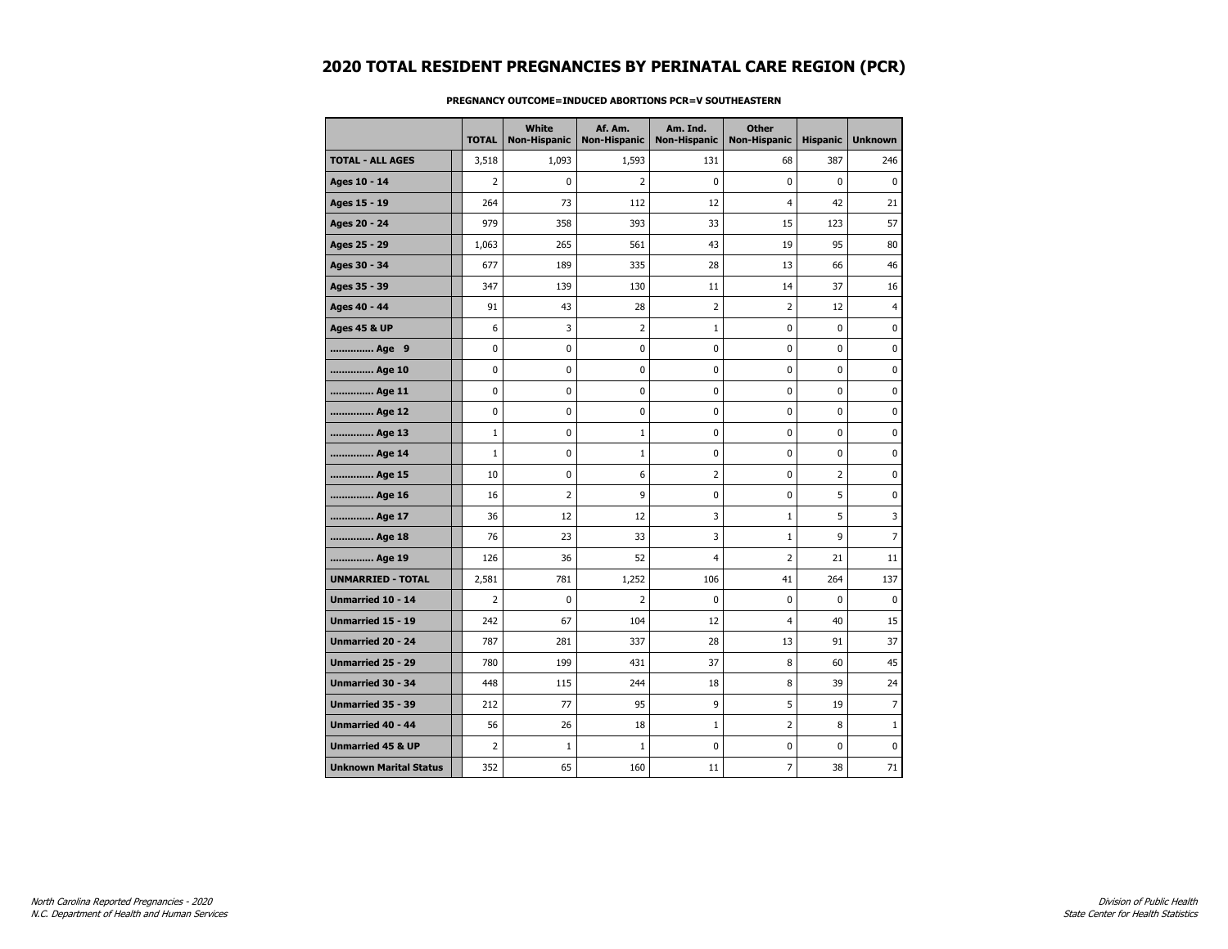|                               | <b>TOTAL</b>   | White<br><b>Non-Hispanic</b> | Af. Am.<br><b>Non-Hispanic</b> | Am. Ind.<br><b>Non-Hispanic</b> | <b>Other</b><br><b>Non-Hispanic</b> | <b>Hispanic</b> | <b>Unknown</b> |
|-------------------------------|----------------|------------------------------|--------------------------------|---------------------------------|-------------------------------------|-----------------|----------------|
| <b>TOTAL - ALL AGES</b>       | 3,518          | 1,093                        | 1,593                          | 131                             | 68                                  | 387             | 246            |
| Ages 10 - 14                  | $\overline{2}$ | $\mathbf 0$                  | $\overline{2}$                 | 0                               | 0                                   | 0               | $\mathbf 0$    |
| Ages 15 - 19                  | 264            | 73                           | 112                            | 12                              | $\overline{4}$                      | 42              | 21             |
| Ages 20 - 24                  | 979            | 358                          | 393                            | 33                              | 15                                  | 123             | 57             |
| Ages 25 - 29                  | 1,063          | 265                          | 561                            | 43                              | 19                                  | 95              | 80             |
| Ages 30 - 34                  | 677            | 189                          | 335                            | 28                              | 13                                  | 66              | 46             |
| Ages 35 - 39                  | 347            | 139                          | 130                            | 11                              | 14                                  | 37              | 16             |
| Ages 40 - 44                  | 91             | 43                           | 28                             | 2                               | $\overline{2}$                      | 12              | 4              |
| <b>Ages 45 &amp; UP</b>       | 6              | 3                            | 2                              | $\mathbf 1$                     | 0                                   | 0               | $\mathbf 0$    |
| Age 9                         | 0              | 0                            | $\pmb{0}$                      | 0                               | 0                                   | 0               | $\pmb{0}$      |
| Age 10                        | 0              | 0                            | 0                              | 0                               | 0                                   | 0               | 0              |
| Age 11                        | 0              | 0                            | 0                              | 0                               | 0                                   | 0               | 0              |
| Age 12                        | 0              | $\mathbf 0$                  | 0                              | 0                               | 0                                   | 0               | $\mathbf 0$    |
| Age 13                        | $\mathbf 1$    | 0                            | 1                              | 0                               | 0                                   | 0               | 0              |
| Age 14                        | $\mathbf{1}$   | 0                            | $\mathbf{1}$                   | 0                               | 0                                   | 0               | 0              |
| Age 15                        | 10             | $\mathbf 0$                  | 6                              | 2                               | 0                                   | $\overline{2}$  | $\mathbf 0$    |
| Age 16                        | 16             | $\overline{2}$               | 9                              | 0                               | 0                                   | 5               | $\mathbf 0$    |
| Age 17                        | 36             | 12                           | 12                             | 3                               | $1\,$                               | 5               | 3              |
| Age 18                        | 76             | 23                           | 33                             | 3                               | $\mathbf 1$                         | 9               | $\overline{7}$ |
| Age 19                        | 126            | 36                           | 52                             | $\overline{4}$                  | 2                                   | 21              | 11             |
| <b>UNMARRIED - TOTAL</b>      | 2,581          | 781                          | 1,252                          | 106                             | 41                                  | 264             | 137            |
| Unmarried 10 - 14             | 2              | $\mathbf 0$                  | $\overline{2}$                 | 0                               | 0                                   | 0               | $\mathbf 0$    |
| Unmarried 15 - 19             | 242            | 67                           | 104                            | 12                              | 4                                   | 40              | 15             |
| <b>Unmarried 20 - 24</b>      | 787            | 281                          | 337                            | 28                              | 13                                  | 91              | 37             |
| Unmarried 25 - 29             | 780            | 199                          | 431                            | 37                              | 8                                   | 60              | 45             |
| Unmarried 30 - 34             | 448            | 115                          | 244                            | 18                              | 8                                   | 39              | 24             |
| Unmarried 35 - 39             | 212            | 77                           | 95                             | 9                               | 5                                   | 19              | $\overline{7}$ |
| <b>Unmarried 40 - 44</b>      | 56             | 26                           | 18                             | $\mathbf{1}$                    | $\overline{2}$                      | 8               | $\mathbf{1}$   |
| <b>Unmarried 45 &amp; UP</b>  | $\overline{2}$ | $1\,$                        | $\mathbf{1}$                   | 0                               | 0                                   | 0               | $\mathbf 0$    |
| <b>Unknown Marital Status</b> | 352            | 65                           | 160                            | 11                              | 7                                   | 38              | 71             |

### **PREGNANCY OUTCOME=INDUCED ABORTIONS PCR=V SOUTHEASTERN**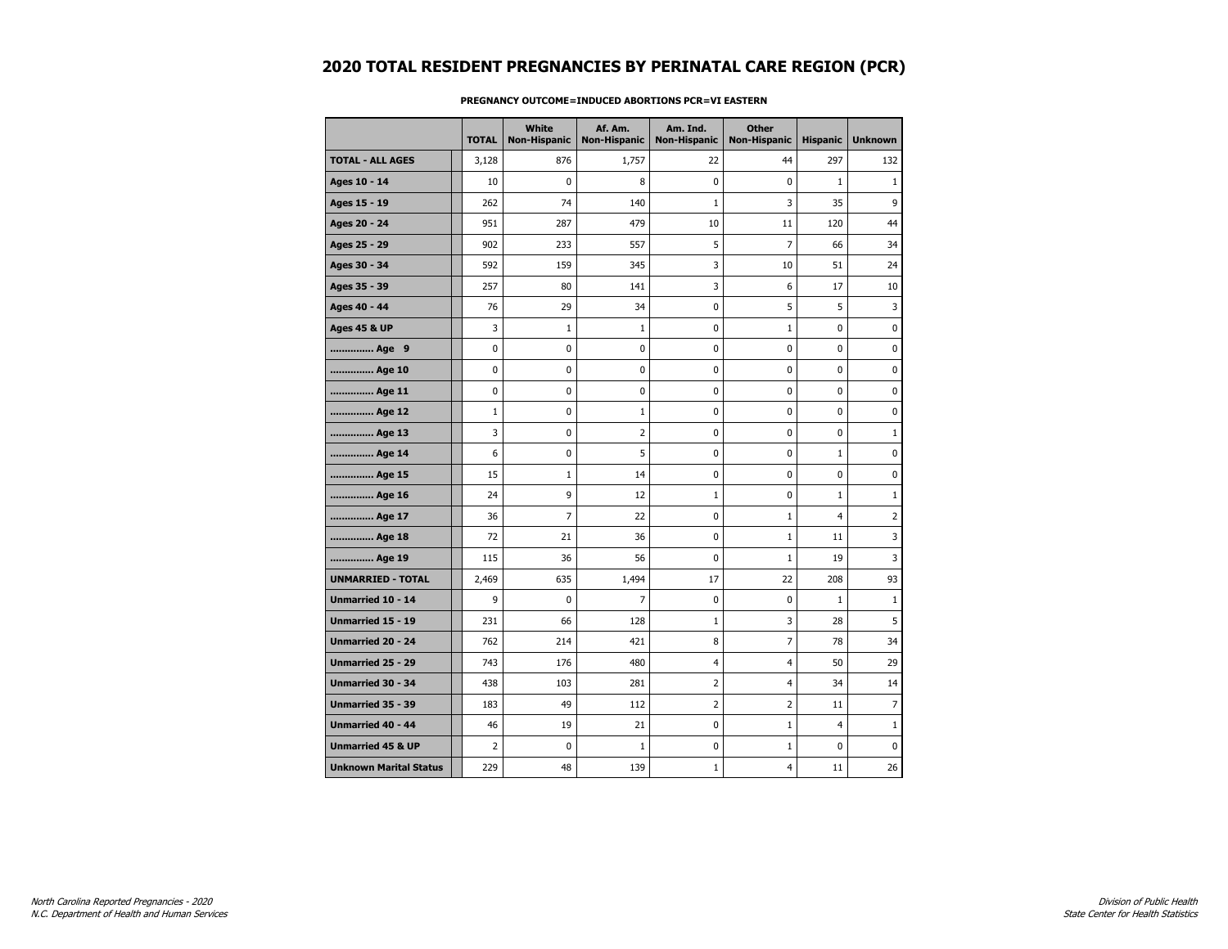|                               | <b>TOTAL</b> | <b>White</b><br><b>Non-Hispanic</b> | Af. Am.<br><b>Non-Hispanic</b> | Am. Ind.<br><b>Non-Hispanic</b> | <b>Other</b><br><b>Non-Hispanic</b> | <b>Hispanic</b> | <b>Unknown</b> |
|-------------------------------|--------------|-------------------------------------|--------------------------------|---------------------------------|-------------------------------------|-----------------|----------------|
| <b>TOTAL - ALL AGES</b>       | 3,128        | 876                                 | 1,757                          | 22                              | 44                                  | 297             | 132            |
| Ages 10 - 14                  | 10           | 0                                   | 8                              | $\mathbf 0$                     | 0                                   | $\mathbf{1}$    | $\mathbf{1}$   |
| Ages 15 - 19                  | 262          | 74                                  | 140                            | $\mathbf{1}$                    | 3                                   | 35              | 9              |
| Ages 20 - 24                  | 951          | 287                                 | 479                            | 10                              | 11                                  | 120             | 44             |
| Ages 25 - 29                  | 902          | 233                                 | 557                            | 5                               | 7                                   | 66              | 34             |
| Ages 30 - 34                  | 592          | 159                                 | 345                            | 3                               | 10                                  | 51              | 24             |
| Ages 35 - 39                  | 257          | 80                                  | 141                            | 3                               | 6                                   | 17              | 10             |
| Ages 40 - 44                  | 76           | 29                                  | 34                             | $\pmb{0}$                       | 5                                   | 5               | 3              |
| <b>Ages 45 &amp; UP</b>       | 3            | $\mathbf{1}$                        | $\mathbf{1}$                   | 0                               | 1                                   | 0               | 0              |
| Age 9                         | 0            | 0                                   | 0                              | 0                               | 0                                   | 0               | 0              |
| Age 10                        | 0            | 0                                   | 0                              | $\mathbf 0$                     | 0                                   | $\mathbf 0$     | 0              |
| Age 11                        | 0            | 0                                   | 0                              | 0                               | 0                                   | 0               | 0              |
| Age 12                        | $\mathbf{1}$ | 0                                   | $\mathbf{1}$                   | 0                               | 0                                   | 0               | 0              |
| Age 13                        | 3            | 0                                   | $\overline{2}$                 | 0                               | 0                                   | $\mathbf 0$     | $\mathbf{1}$   |
| Age 14                        | 6            | 0                                   | 5                              | 0                               | 0                                   | $\mathbf{1}$    | 0              |
| Age 15                        | 15           | $\mathbf 1$                         | 14                             | 0                               | 0                                   | 0               | $\pmb{0}$      |
| Age 16                        | 24           | 9                                   | 12                             | $\mathbf 1$                     | 0                                   | $\mathbf{1}$    | $1\,$          |
| Age 17                        | 36           | 7                                   | 22                             | 0                               | 1                                   | 4               | $\overline{2}$ |
| Age 18                        | 72           | 21                                  | 36                             | $\mathbf 0$                     | 1                                   | 11              | 3              |
| Age 19                        | 115          | 36                                  | 56                             | $\mathbf 0$                     | $\mathbf{1}$                        | 19              | 3              |
| <b>UNMARRIED - TOTAL</b>      | 2,469        | 635                                 | 1,494                          | 17                              | 22                                  | 208             | 93             |
| Unmarried 10 - 14             | 9            | 0                                   | $\overline{7}$                 | 0                               | 0                                   | $\mathbf{1}$    | 1              |
| <b>Unmarried 15 - 19</b>      | 231          | 66                                  | 128                            | $\mathbf{1}$                    | 3                                   | 28              | 5              |
| <b>Unmarried 20 - 24</b>      | 762          | 214                                 | 421                            | 8                               | $\overline{7}$                      | 78              | 34             |
| <b>Unmarried 25 - 29</b>      | 743          | 176                                 | 480                            | $\overline{4}$                  | 4                                   | 50              | 29             |
| Unmarried 30 - 34             | 438          | 103                                 | 281                            | $\overline{2}$                  | 4                                   | 34              | 14             |
| Unmarried 35 - 39             | 183          | 49                                  | 112                            | $\overline{2}$                  | 2                                   | 11              | $\overline{7}$ |
| <b>Unmarried 40 - 44</b>      | 46           | 19                                  | 21                             | 0                               | $\mathbf{1}$                        | $\overline{4}$  | $\mathbf{1}$   |
| <b>Unmarried 45 &amp; UP</b>  | 2            | 0                                   | $\mathbf{1}$                   | $\pmb{0}$                       | $\mathbf{1}$                        | $\mathbf 0$     | 0              |
| <b>Unknown Marital Status</b> | 229          | 48                                  | 139                            | $\mathbf{1}$                    | 4                                   | 11              | 26             |

### **PREGNANCY OUTCOME=INDUCED ABORTIONS PCR=VI EASTERN**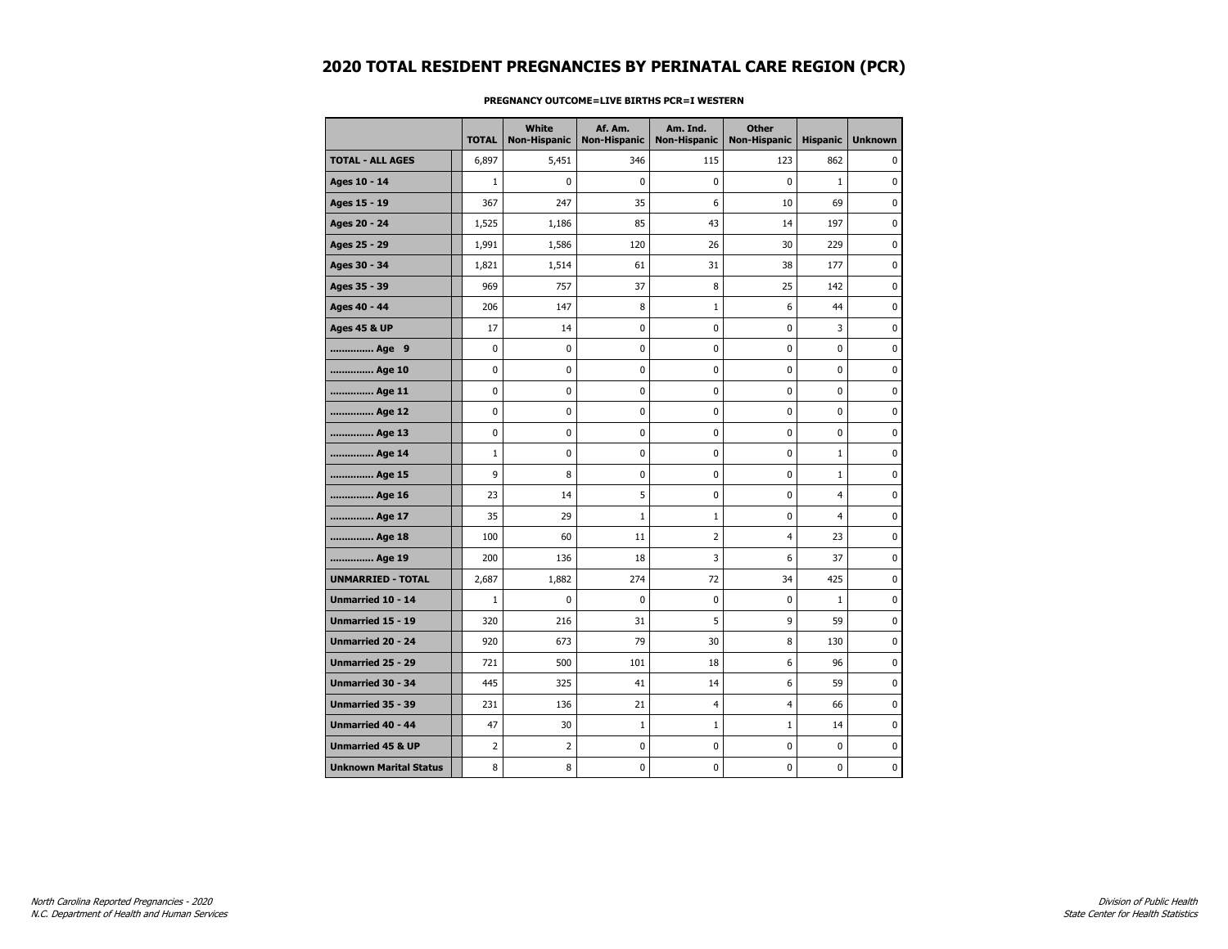|                               | <b>TOTAL</b>   | <b>White</b><br>Non-Hispanic | Af. Am.<br><b>Non-Hispanic</b> | Am. Ind.<br><b>Non-Hispanic</b> | <b>Other</b><br><b>Non-Hispanic</b> | <b>Hispanic</b> | <b>Unknown</b> |
|-------------------------------|----------------|------------------------------|--------------------------------|---------------------------------|-------------------------------------|-----------------|----------------|
| <b>TOTAL - ALL AGES</b>       | 6,897          | 5,451                        | 346                            | 115                             | 123                                 | 862             | 0              |
| Ages 10 - 14                  | $\mathbf{1}$   | 0                            | $\mathbf 0$                    | $\mathbf 0$                     | 0                                   | $\mathbf{1}$    | $\mathbf 0$    |
| Ages 15 - 19                  | 367            | 247                          | 35                             | 6                               | 10                                  | 69              | $\mathbf 0$    |
| Ages 20 - 24                  | 1,525          | 1,186                        | 85                             | 43                              | 14                                  | 197             | 0              |
| Ages 25 - 29                  | 1,991          | 1,586                        | 120                            | 26                              | 30                                  | 229             | 0              |
| Ages 30 - 34                  | 1,821          | 1,514                        | 61                             | 31                              | 38                                  | 177             | $\mathbf 0$    |
| Ages 35 - 39                  | 969            | 757                          | 37                             | 8                               | 25                                  | 142             | 0              |
| Ages 40 - 44                  | 206            | 147                          | 8                              | $\mathbf{1}$                    | 6                                   | 44              | $\mathbf 0$    |
| Ages 45 & UP                  | 17             | 14                           | $\mathbf 0$                    | 0                               | 0                                   | 3               | $\pmb{0}$      |
| Age 9                         | 0              | 0                            | 0                              | 0                               | 0                                   | 0               | 0              |
| Age 10                        | 0              | 0                            | 0                              | 0                               | 0                                   | 0               | 0              |
| Age 11                        | 0              | 0                            | 0                              | 0                               | 0                                   | 0               | $\mathbf 0$    |
| Age 12                        | 0              | 0                            | $\mathbf 0$                    | $\mathbf 0$                     | 0                                   | 0               | $\mathbf 0$    |
| Age 13                        | 0              | 0                            | 0                              | 0                               | 0                                   | 0               | 0              |
| Age 14                        | $\mathbf{1}$   | 0                            | 0                              | 0                               | 0                                   | $\mathbf{1}$    | 0              |
| Age 15                        | 9              | 8                            | 0                              | $\mathbf 0$                     | 0                                   | $\mathbf 1$     | $\mathbf 0$    |
| Age 16                        | 23             | 14                           | 5                              | 0                               | 0                                   | 4               | $\mathbf 0$    |
| Age 17                        | 35             | 29                           | $\mathbf{1}$                   | $\mathbf{1}$                    | 0                                   | 4               | $\mathbf 0$    |
| Age 18                        | 100            | 60                           | 11                             | $\overline{2}$                  | $\overline{4}$                      | 23              | $\pmb{0}$      |
| Age 19                        | 200            | 136                          | 18                             | 3                               | 6                                   | 37              | 0              |
| <b>UNMARRIED - TOTAL</b>      | 2,687          | 1,882                        | 274                            | 72                              | 34                                  | 425             | 0              |
| Unmarried 10 - 14             | $\mathbf{1}$   | 0                            | $\mathbf 0$                    | $\mathbf 0$                     | 0                                   | $\mathbf{1}$    | $\mathbf 0$    |
| <b>Unmarried 15 - 19</b>      | 320            | 216                          | 31                             | 5                               | 9                                   | 59              | $\mathbf 0$    |
| <b>Unmarried 20 - 24</b>      | 920            | 673                          | 79                             | 30                              | 8                                   | 130             | $\pmb{0}$      |
| Unmarried 25 - 29             | 721            | 500                          | 101                            | 18                              | 6                                   | 96              | 0              |
| <b>Unmarried 30 - 34</b>      | 445            | 325                          | 41                             | 14                              | 6                                   | 59              | $\mathbf 0$    |
| Unmarried 35 - 39             | 231            | 136                          | 21                             | $\overline{4}$                  | 4                                   | 66              | $\mathbf 0$    |
| <b>Unmarried 40 - 44</b>      | 47             | 30                           | $\mathbf 1$                    | $\mathbf{1}$                    | $1\,$                               | 14              | $\pmb{0}$      |
| <b>Unmarried 45 &amp; UP</b>  | $\overline{2}$ | $\overline{2}$               | 0                              | 0                               | 0                                   | 0               | 0              |
| <b>Unknown Marital Status</b> | 8              | 8                            | 0                              | 0                               | 0                                   | 0               | 0              |

### **PREGNANCY OUTCOME=LIVE BIRTHS PCR=I WESTERN**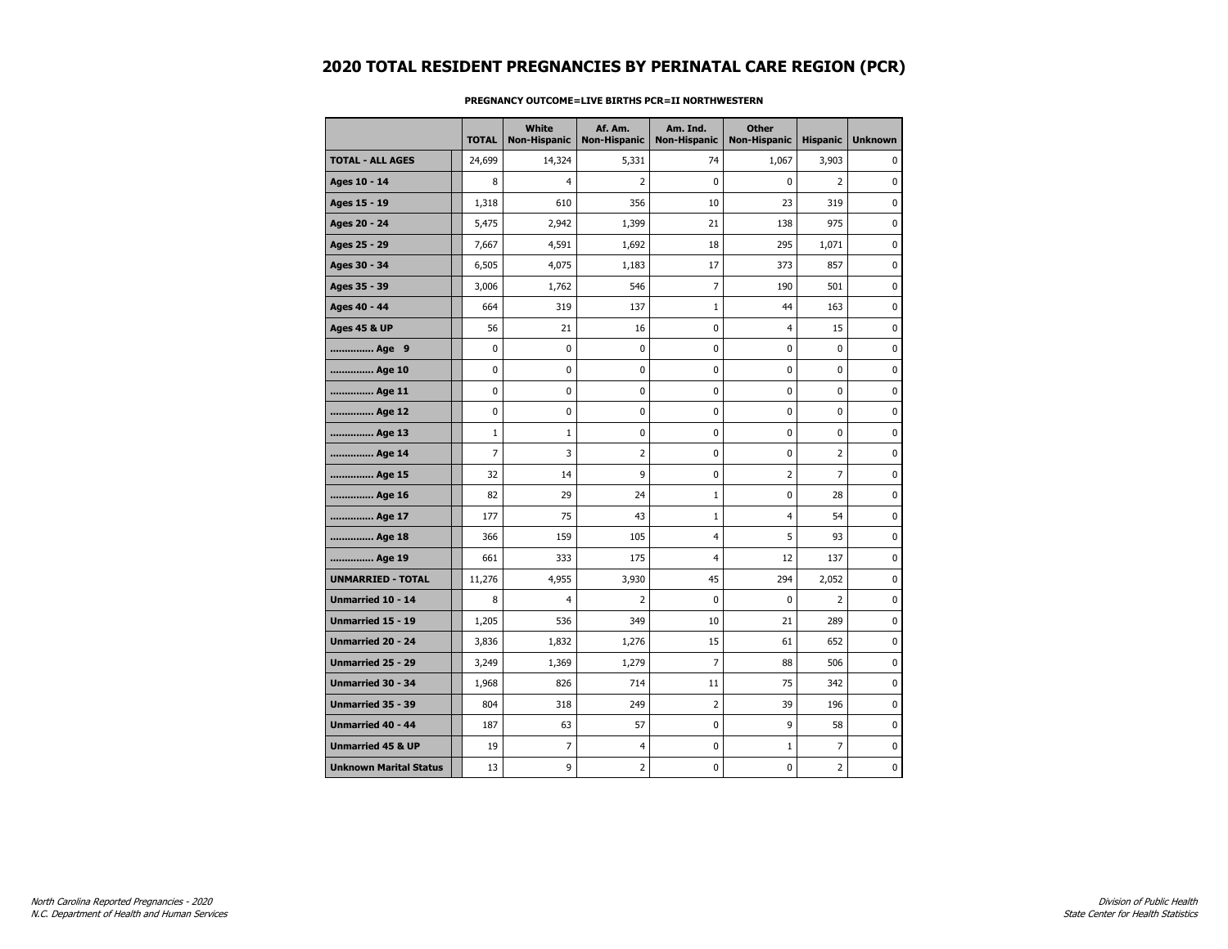|                               | <b>TOTAL</b>   | <b>White</b><br>Non-Hispanic | Af. Am.<br><b>Non-Hispanic</b> | Am. Ind.<br><b>Non-Hispanic</b> | <b>Other</b><br><b>Non-Hispanic</b> | <b>Hispanic</b> | <b>Unknown</b> |
|-------------------------------|----------------|------------------------------|--------------------------------|---------------------------------|-------------------------------------|-----------------|----------------|
| <b>TOTAL - ALL AGES</b>       | 24,699         | 14,324                       | 5,331                          | 74                              | 1,067                               | 3,903           | 0              |
| Ages 10 - 14                  | 8              | $\overline{4}$               | 2                              | $\mathbf 0$                     | $\mathbf{0}$                        | $\overline{2}$  | $\mathbf 0$    |
| Ages 15 - 19                  | 1,318          | 610                          | 356                            | 10                              | 23                                  | 319             | $\mathbf 0$    |
| Ages 20 - 24                  | 5,475          | 2,942                        | 1,399                          | 21                              | 138                                 | 975             | $\mathbf{0}$   |
| Ages 25 - 29                  | 7,667          | 4,591                        | 1,692                          | 18                              | 295                                 | 1,071           | 0              |
| Ages 30 - 34                  | 6,505          | 4,075                        | 1,183                          | 17                              | 373                                 | 857             | $\mathbf 0$    |
| Ages 35 - 39                  | 3,006          | 1,762                        | 546                            | 7                               | 190                                 | 501             | 0              |
| Ages 40 - 44                  | 664            | 319                          | 137                            | $\mathbf 1$                     | 44                                  | 163             | 0              |
| <b>Ages 45 &amp; UP</b>       | 56             | 21                           | 16                             | 0                               | 4                                   | 15              | $\mathbf 0$    |
| Age 9                         | 0              | $\mathbf 0$                  | 0                              | 0                               | $\mathbf 0$                         | $\mathbf 0$     | $\mathbf 0$    |
| Age 10                        | 0              | 0                            | 0                              | 0                               | 0                                   | 0               | 0              |
| Age 11                        | 0              | 0                            | 0                              | 0                               | 0                                   | 0               | 0              |
| Age 12                        | 0              | 0                            | 0                              | 0                               | 0                                   | 0               | 0              |
| Age 13                        | $\mathbf{1}$   | $\mathbf{1}$                 | 0                              | 0                               | 0                                   | $\mathbf 0$     | $\mathbf 0$    |
| Age 14                        | $\overline{7}$ | 3                            | 2                              | 0                               | $\mathbf 0$                         | $\overline{2}$  | 0              |
| Age 15                        | 32             | 14                           | 9                              | 0                               | 2                                   | $\overline{7}$  | 0              |
| Age 16                        | 82             | 29                           | 24                             | $\mathbf 1$                     | $\bf{0}$                            | 28              | $\mathbf 0$    |
| Age 17                        | 177            | 75                           | 43                             | $\mathbf{1}$                    | 4                                   | 54              | 0              |
| Age 18                        | 366            | 159                          | 105                            | 4                               | 5                                   | 93              | 0              |
| Age 19                        | 661            | 333                          | 175                            | $\overline{4}$                  | 12                                  | 137             | $\mathbf 0$    |
| <b>UNMARRIED - TOTAL</b>      | 11,276         | 4,955                        | 3,930                          | 45                              | 294                                 | 2,052           | $\mathbf 0$    |
| Unmarried 10 - 14             | 8              | $\overline{4}$               | 2                              | 0                               | $\mathbf 0$                         | $\overline{2}$  | 0              |
| Unmarried 15 - 19             | 1,205          | 536                          | 349                            | 10                              | 21                                  | 289             | $\mathbf 0$    |
| <b>Unmarried 20 - 24</b>      | 3,836          | 1,832                        | 1,276                          | 15                              | 61                                  | 652             | 0              |
| Unmarried 25 - 29             | 3,249          | 1,369                        | 1,279                          | 7                               | 88                                  | 506             | 0              |
| <b>Unmarried 30 - 34</b>      | 1,968          | 826                          | 714                            | 11                              | 75                                  | 342             | $\mathbf 0$    |
| <b>Unmarried 35 - 39</b>      | 804            | 318                          | 249                            | 2                               | 39                                  | 196             | $\mathbf 0$    |
| Unmarried 40 - 44             | 187            | 63                           | 57                             | 0                               | 9                                   | 58              | $\mathbf 0$    |
| <b>Unmarried 45 &amp; UP</b>  | 19             | 7                            | $\overline{4}$                 | 0                               | $\mathbf 1$                         | 7               | 0              |
| <b>Unknown Marital Status</b> | 13             | 9                            | 2                              | 0                               | 0                                   | 2               | 0              |

### **PREGNANCY OUTCOME=LIVE BIRTHS PCR=II NORTHWESTERN**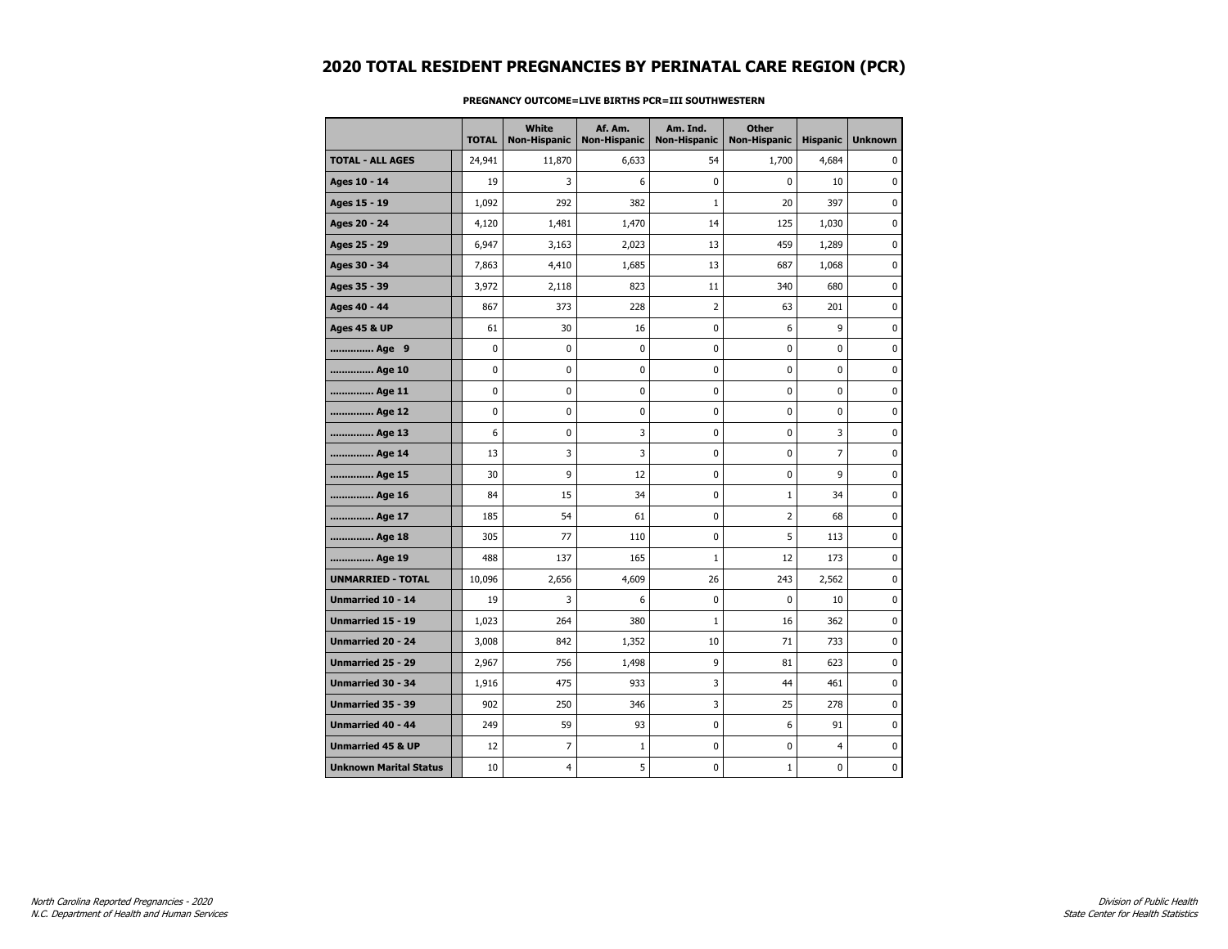|                               | <b>TOTAL</b> | White<br><b>Non-Hispanic</b> | Af. Am.<br><b>Non-Hispanic</b> | Am. Ind.<br><b>Non-Hispanic</b> | <b>Other</b><br><b>Non-Hispanic</b> | <b>Hispanic</b> | <b>Unknown</b> |
|-------------------------------|--------------|------------------------------|--------------------------------|---------------------------------|-------------------------------------|-----------------|----------------|
| <b>TOTAL - ALL AGES</b>       | 24,941       | 11,870                       | 6,633                          | 54                              | 1,700                               | 4,684           | $\Omega$       |
| Ages 10 - 14                  | 19           | 3                            | 6                              | $\mathbf{0}$                    | $\mathbf{0}$                        | 10              | $\mathbf 0$    |
| Ages 15 - 19                  | 1,092        | 292                          | 382                            | $\mathbf{1}$                    | 20                                  | 397             | 0              |
| Ages 20 - 24                  | 4,120        | 1,481                        | 1,470                          | 14                              | 125                                 | 1,030           | 0              |
| Ages 25 - 29                  | 6,947        | 3,163                        | 2,023                          | 13                              | 459                                 | 1,289           | 0              |
| Ages 30 - 34                  | 7,863        | 4,410                        | 1,685                          | 13                              | 687                                 | 1,068           | $\mathbf 0$    |
| Ages 35 - 39                  | 3,972        | 2,118                        | 823                            | 11                              | 340                                 | 680             | $\mathbf 0$    |
| Ages 40 - 44                  | 867          | 373                          | 228                            | $\overline{2}$                  | 63                                  | 201             | $\mathbf 0$    |
| <b>Ages 45 &amp; UP</b>       | 61           | 30                           | 16                             | 0                               | 6                                   | 9               | 0              |
| Age 9                         | 0            | 0                            | 0                              | 0                               | 0                                   | 0               | $\mathbf 0$    |
| Age 10                        | 0            | $\mathbf 0$                  | 0                              | 0                               | $\mathbf 0$                         | $\mathbf 0$     | $\mathbf 0$    |
| Age 11                        | 0            | 0                            | 0                              | 0                               | 0                                   | $\mathbf 0$     | 0              |
| Age 12                        | 0            | 0                            | 0                              | 0                               | 0                                   | 0               | 0              |
| Age 13                        | 6            | $\mathbf 0$                  | 3                              | 0                               | 0                                   | 3               | $\mathbf 0$    |
| Age 14                        | 13           | 3                            | 3                              | 0                               | 0                                   | $\overline{7}$  | 0              |
| Age 15                        | 30           | 9                            | 12                             | 0                               | $\pmb{0}$                           | 9               | 0              |
| Age 16                        | 84           | 15                           | 34                             | 0                               | 1                                   | 34              | 0              |
| Age 17                        | 185          | 54                           | 61                             | 0                               | 2                                   | 68              | 0              |
| Age 18                        | 305          | 77                           | 110                            | $\mathbf 0$                     | 5                                   | 113             | $\mathbf 0$    |
| Age 19                        | 488          | 137                          | 165                            | 1                               | 12                                  | 173             | 0              |
| <b>UNMARRIED - TOTAL</b>      | 10,096       | 2,656                        | 4,609                          | 26                              | 243                                 | 2,562           | $\pmb{0}$      |
| Unmarried 10 - 14             | 19           | 3                            | 6                              | $\mathbf 0$                     | 0                                   | 10              | $\mathbf 0$    |
| <b>Unmarried 15 - 19</b>      | 1,023        | 264                          | 380                            | $\mathbf{1}$                    | 16                                  | 362             | $\mathbf 0$    |
| Unmarried 20 - 24             | 3,008        | 842                          | 1,352                          | 10                              | 71                                  | 733             | 0              |
| Unmarried 25 - 29             | 2,967        | 756                          | 1,498                          | 9                               | 81                                  | 623             | 0              |
| Unmarried 30 - 34             | 1,916        | 475                          | 933                            | 3                               | 44                                  | 461             | 0              |
| Unmarried 35 - 39             | 902          | 250                          | 346                            | 3                               | 25                                  | 278             | $\mathbf 0$    |
| Unmarried 40 - 44             | 249          | 59                           | 93                             | 0                               | 6                                   | 91              | 0              |
| <b>Unmarried 45 &amp; UP</b>  | 12           | 7                            | $\mathbf 1$                    | 0                               | 0                                   | $\overline{4}$  | $\mathbf 0$    |
| <b>Unknown Marital Status</b> | 10           | 4                            | 5                              | 0                               | $\mathbf{1}$                        | $\mathbf 0$     | 0              |

### **PREGNANCY OUTCOME=LIVE BIRTHS PCR=III SOUTHWESTERN**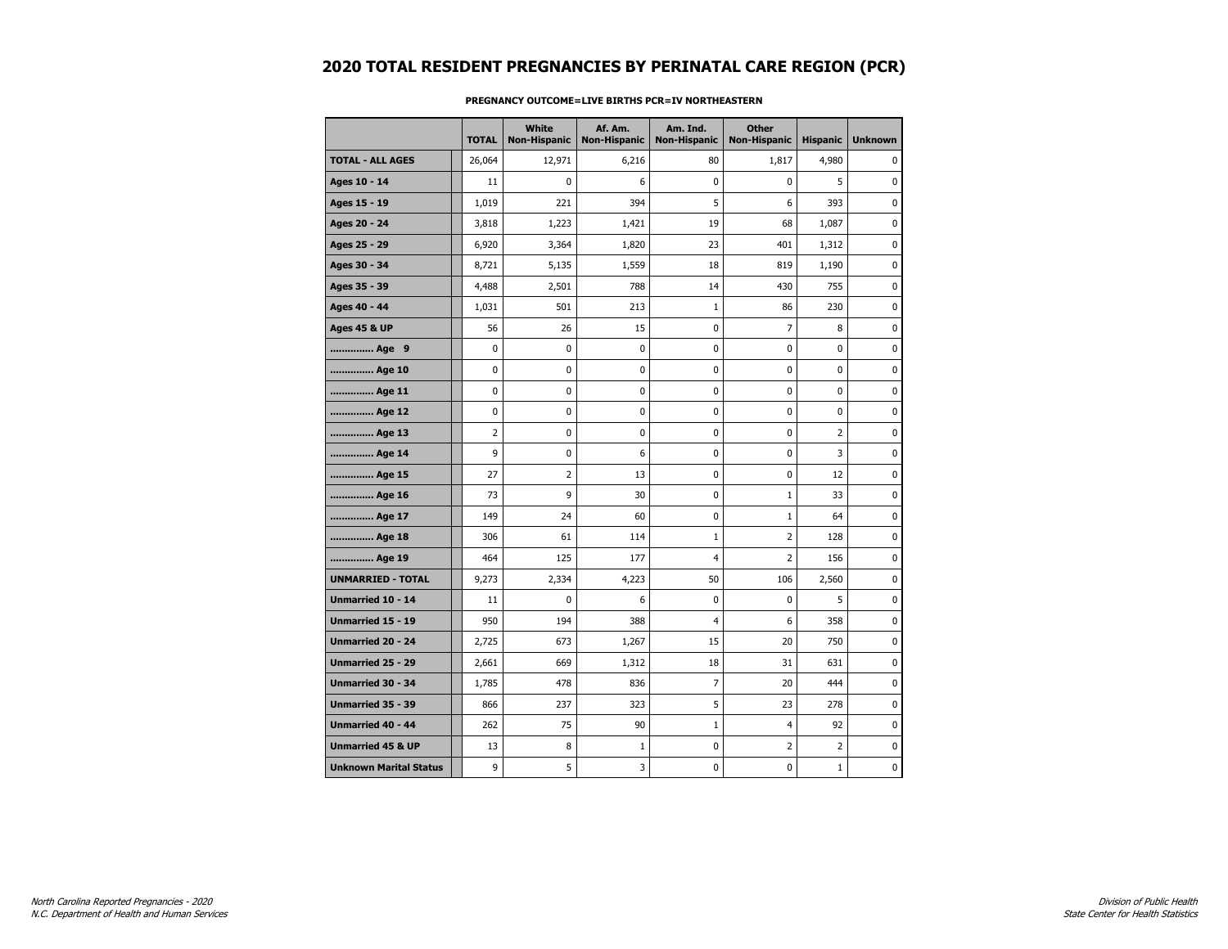|                               | <b>TOTAL</b> | White<br><b>Non-Hispanic</b> | Af. Am.<br><b>Non-Hispanic</b> | Am. Ind.<br><b>Non-Hispanic</b> | <b>Other</b><br>Non-Hispanic | <b>Hispanic</b> | <b>Unknown</b> |
|-------------------------------|--------------|------------------------------|--------------------------------|---------------------------------|------------------------------|-----------------|----------------|
| <b>TOTAL - ALL AGES</b>       | 26,064       | 12,971                       | 6,216                          | 80                              | 1,817                        | 4,980           | $\Omega$       |
| Ages 10 - 14                  | 11           | 0                            | 6                              | $\mathbf 0$                     | 0                            | 5               | $\mathbf 0$    |
| Ages 15 - 19                  | 1,019        | 221                          | 394                            | 5                               | 6                            | 393             | $\mathbf 0$    |
| Ages 20 - 24                  | 3,818        | 1,223                        | 1,421                          | 19                              | 68                           | 1,087           | $\mathbf 0$    |
| Ages 25 - 29                  | 6,920        | 3,364                        | 1,820                          | 23                              | 401                          | 1,312           | 0              |
| Ages 30 - 34                  | 8,721        | 5,135                        | 1,559                          | 18                              | 819                          | 1,190           | $\mathbf 0$    |
| Ages 35 - 39                  | 4,488        | 2,501                        | 788                            | 14                              | 430                          | 755             | $\mathbf 0$    |
| Ages 40 - 44                  | 1,031        | 501                          | 213                            | 1                               | 86                           | 230             | $\mathbf 0$    |
| <b>Ages 45 &amp; UP</b>       | 56           | 26                           | 15                             | 0                               | 7                            | 8               | $\pmb{0}$      |
| Age 9                         | 0            | 0                            | 0                              | 0                               | 0                            | 0               | 0              |
| Age 10                        | 0            | 0                            | 0                              | $\mathbf 0$                     | 0                            | 0               | $\mathbf 0$    |
| Age 11                        | 0            | 0                            | 0                              | $\mathbf 0$                     | 0                            | 0               | $\mathbf 0$    |
| Age 12                        | 0            | 0                            | 0                              | $\mathbf 0$                     | 0                            | 0               | $\mathbf 0$    |
| Age 13                        | 2            | $\bf{0}$                     | $\pmb{0}$                      | 0                               | 0                            | $\overline{2}$  | 0              |
| Age 14                        | 9            | 0                            | 6                              | 0                               | 0                            | 3               | $\mathbf 0$    |
| Age 15                        | 27           | 2                            | 13                             | 0                               | 0                            | 12              | $\mathbf 0$    |
| Age 16                        | 73           | 9                            | 30                             | $\mathbf 0$                     | 1                            | 33              | $\mathbf 0$    |
| Age 17                        | 149          | 24                           | 60                             | 0                               | $\mathbf{1}$                 | 64              | $\mathbf 0$    |
| Age 18                        | 306          | 61                           | 114                            | $\mathbf{1}$                    | $\overline{2}$               | 128             | $\pmb{0}$      |
| Age 19                        | 464          | 125                          | 177                            | 4                               | 2                            | 156             | 0              |
| <b>UNMARRIED - TOTAL</b>      | 9,273        | 2,334                        | 4,223                          | 50                              | 106                          | 2,560           | 0              |
| Unmarried 10 - 14             | 11           | $\mathbf{0}$                 | 6                              | $\mathbf 0$                     | 0                            | 5               | $\mathbf 0$    |
| Unmarried 15 - 19             | 950          | 194                          | 388                            | $\overline{4}$                  | 6                            | 358             | $\mathbf 0$    |
| <b>Unmarried 20 - 24</b>      | 2,725        | 673                          | 1,267                          | 15                              | 20                           | 750             | 0              |
| Unmarried 25 - 29             | 2,661        | 669                          | 1,312                          | 18                              | 31                           | 631             | 0              |
| <b>Unmarried 30 - 34</b>      | 1,785        | 478                          | 836                            | $\overline{7}$                  | 20                           | 444             | $\mathbf 0$    |
| <b>Unmarried 35 - 39</b>      | 866          | 237                          | 323                            | 5                               | 23                           | 278             | $\mathbf 0$    |
| Unmarried 40 - 44             | 262          | 75                           | 90                             | $\mathbf{1}$                    | 4                            | 92              | 0              |
| <b>Unmarried 45 &amp; UP</b>  | 13           | 8                            | $\mathbf{1}$                   | 0                               | 2                            | $\overline{2}$  | $\mathbf 0$    |
| <b>Unknown Marital Status</b> | 9            | 5                            | 3                              | 0                               | 0                            | $\mathbf{1}$    | 0              |

#### **PREGNANCY OUTCOME=LIVE BIRTHS PCR=IV NORTHEASTERN**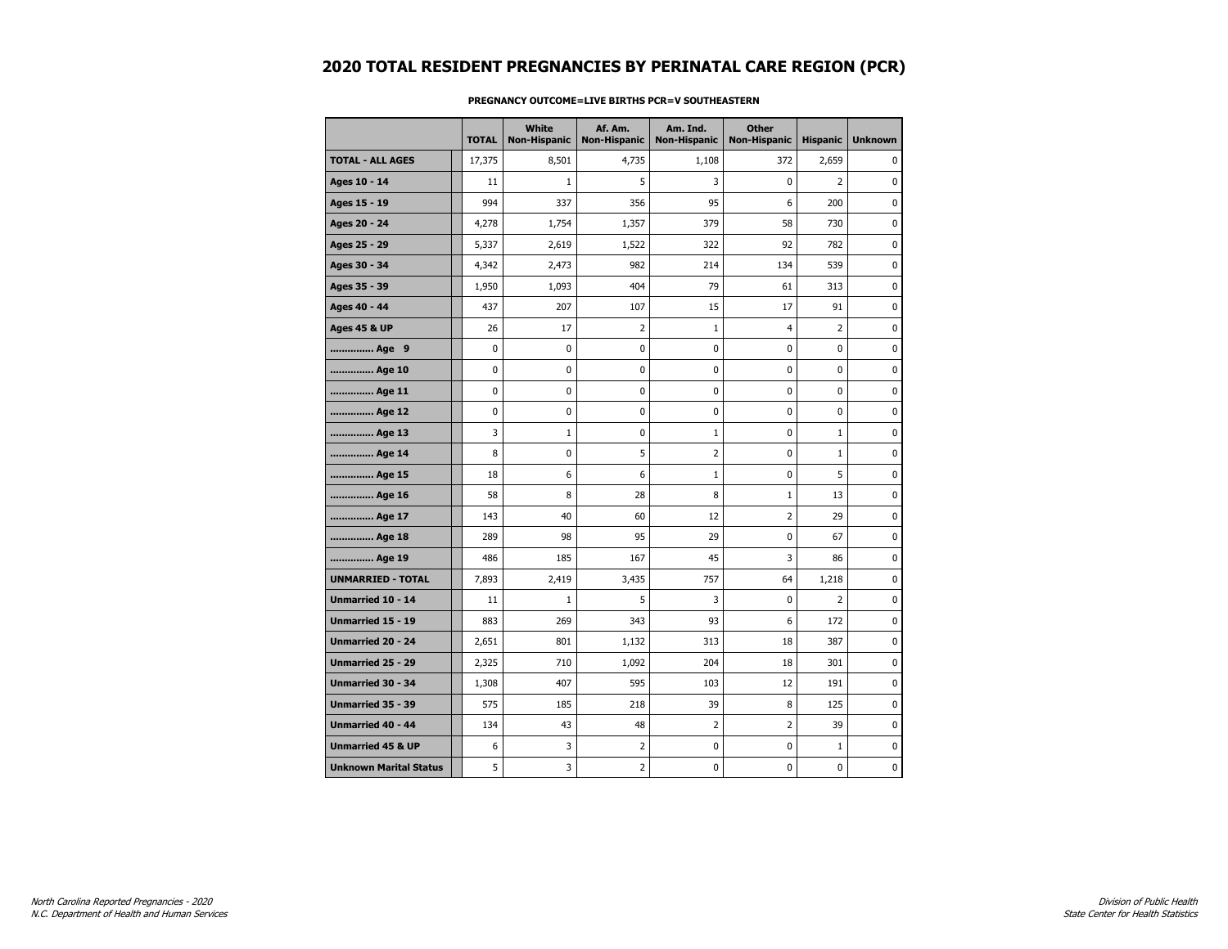|                               | <b>TOTAL</b> | White<br><b>Non-Hispanic</b> | Af. Am.<br><b>Non-Hispanic</b> | Am. Ind.<br><b>Non-Hispanic</b> | <b>Other</b><br><b>Non-Hispanic</b> | <b>Hispanic</b> | <b>Unknown</b> |
|-------------------------------|--------------|------------------------------|--------------------------------|---------------------------------|-------------------------------------|-----------------|----------------|
| <b>TOTAL - ALL AGES</b>       | 17,375       | 8,501                        | 4,735                          | 1,108                           | 372                                 | 2,659           | $\Omega$       |
| Ages 10 - 14                  | 11           | $\mathbf{1}$                 | 5                              | 3                               | 0                                   | $\overline{2}$  | $\mathbf 0$    |
| Ages 15 - 19                  | 994          | 337                          | 356                            | 95                              | 6                                   | 200             | $\mathbf 0$    |
| Ages 20 - 24                  | 4,278        | 1,754                        | 1,357                          | 379                             | 58                                  | 730             | 0              |
| Ages 25 - 29                  | 5,337        | 2,619                        | 1,522                          | 322                             | 92                                  | 782             | 0              |
| Ages 30 - 34                  | 4,342        | 2,473                        | 982                            | 214                             | 134                                 | 539             | 0              |
| Ages 35 - 39                  | 1,950        | 1,093                        | 404                            | 79                              | 61                                  | 313             | 0              |
| Ages 40 - 44                  | 437          | 207                          | 107                            | 15                              | 17                                  | 91              | $\mathbf 0$    |
| Ages 45 & UP                  | 26           | 17                           | $\overline{2}$                 | $\mathbf 1$                     | 4                                   | $\overline{2}$  | 0              |
| Age 9                         | 0            | 0                            | 0                              | 0                               | 0                                   | 0               | 0              |
| Age 10                        | 0            | $\mathbf 0$                  | 0                              | 0                               | 0                                   | $\mathbf 0$     | 0              |
| Age 11                        | 0            | 0                            | 0                              | 0                               | 0                                   | $\mathbf 0$     | $\mathbf 0$    |
| Age 12                        | 0            | 0                            | 0                              | 0                               | 0                                   | $\mathbf 0$     | $\mathbf 0$    |
| Age 13                        | 3            | $1\,$                        | 0                              | $\mathbf 1$                     | $\bf{0}$                            | $\mathbf 1$     | 0              |
| Age 14                        | 8            | 0                            | 5                              | 2                               | 0                                   | $\mathbf{1}$    | 0              |
| Age 15                        | 18           | 6                            | 6                              | $\mathbf{1}$                    | $\mathbf 0$                         | 5               | 0              |
| Age 16                        | 58           | 8                            | 28                             | 8                               | $\mathbf 1$                         | 13              | $\mathbf 0$    |
| Age 17                        | 143          | 40                           | 60                             | 12                              | $\overline{2}$                      | 29              | $\mathbf 0$    |
| Age 18                        | 289          | 98                           | 95                             | 29                              | $\mathbf 0$                         | 67              | $\pmb{0}$      |
| Age 19                        | 486          | 185                          | 167                            | 45                              | 3                                   | 86              | 0              |
| <b>UNMARRIED - TOTAL</b>      | 7,893        | 2,419                        | 3,435                          | 757                             | 64                                  | 1,218           | 0              |
| Unmarried 10 - 14             | 11           | $\mathbf{1}$                 | 5                              | 3                               | 0                                   | $\overline{2}$  | $\mathbf 0$    |
| <b>Unmarried 15 - 19</b>      | 883          | 269                          | 343                            | 93                              | 6                                   | 172             | $\mathbf 0$    |
| <b>Unmarried 20 - 24</b>      | 2,651        | 801                          | 1,132                          | 313                             | 18                                  | 387             | $\pmb{0}$      |
| Unmarried 25 - 29             | 2,325        | 710                          | 1,092                          | 204                             | 18                                  | 301             | 0              |
| <b>Unmarried 30 - 34</b>      | 1,308        | 407                          | 595                            | 103                             | 12                                  | 191             | 0              |
| Unmarried 35 - 39             | 575          | 185                          | 218                            | 39                              | 8                                   | 125             | $\mathbf 0$    |
| Unmarried 40 - 44             | 134          | 43                           | 48                             | $\overline{2}$                  | $\overline{2}$                      | 39              | $\mathbf 0$    |
| <b>Unmarried 45 &amp; UP</b>  | 6            | 3                            | 2                              | 0                               | 0                                   | $\mathbf{1}$    | 0              |
| <b>Unknown Marital Status</b> | 5            | 3                            | 2                              | 0                               | 0                                   | 0               | 0              |

### **PREGNANCY OUTCOME=LIVE BIRTHS PCR=V SOUTHEASTERN**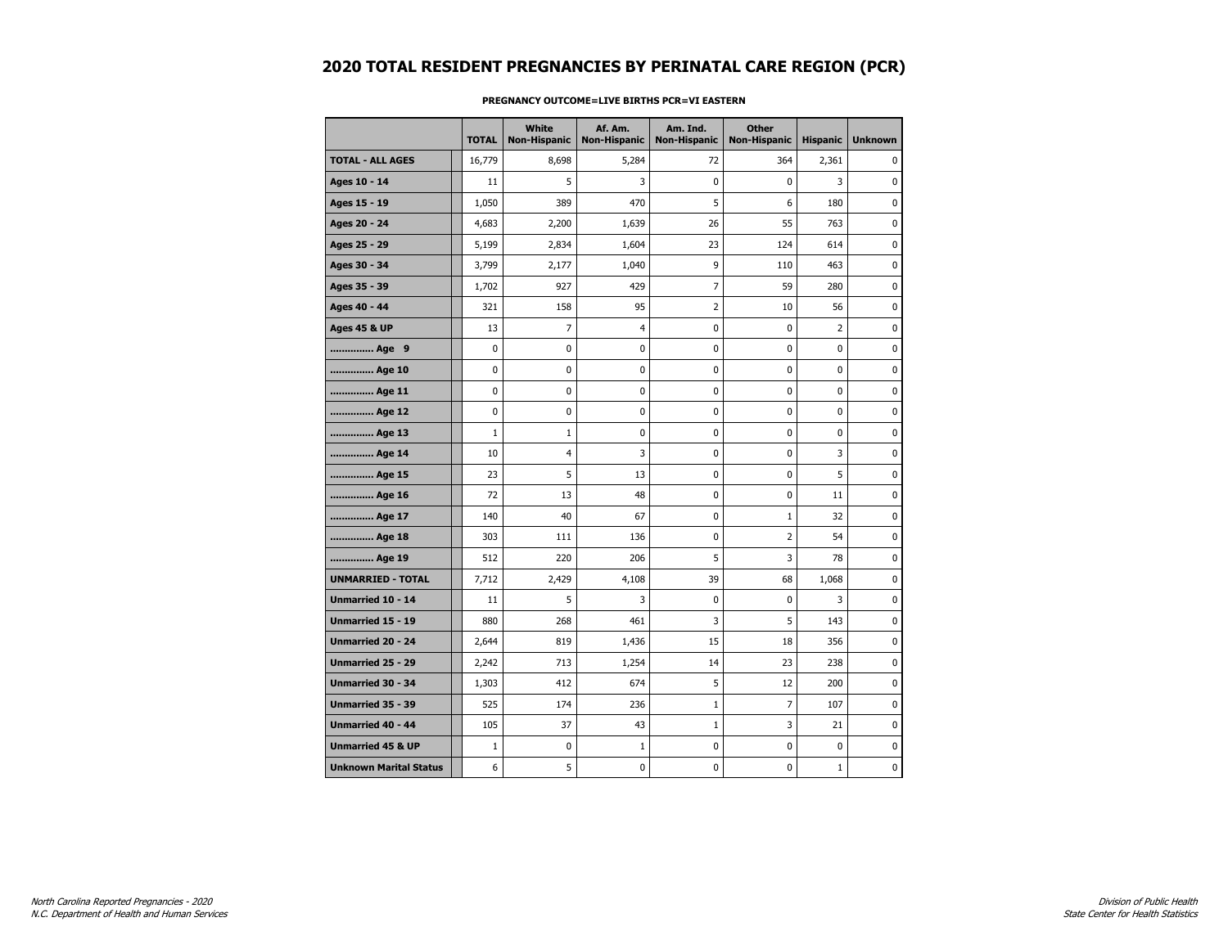|                               | <b>TOTAL</b> | <b>White</b><br>Non-Hispanic | Af. Am.<br><b>Non-Hispanic</b> | Am. Ind.<br><b>Non-Hispanic</b> | <b>Other</b><br><b>Non-Hispanic</b> | <b>Hispanic</b> | <b>Unknown</b> |
|-------------------------------|--------------|------------------------------|--------------------------------|---------------------------------|-------------------------------------|-----------------|----------------|
| <b>TOTAL - ALL AGES</b>       | 16,779       | 8,698                        | 5,284                          | 72                              | 364                                 | 2,361           | 0              |
| Ages 10 - 14                  | 11           | 5                            | 3                              | 0                               | 0                                   | 3               | $\mathbf 0$    |
| Ages 15 - 19                  | 1,050        | 389                          | 470                            | 5                               | 6                                   | 180             | $\mathbf 0$    |
| Ages 20 - 24                  | 4,683        | 2,200                        | 1,639                          | 26                              | 55                                  | 763             | $\mathbf 0$    |
| Ages 25 - 29                  | 5,199        | 2,834                        | 1,604                          | 23                              | 124                                 | 614             | $\pmb{0}$      |
| Ages 30 - 34                  | 3,799        | 2,177                        | 1,040                          | 9                               | 110                                 | 463             | $\mathbf 0$    |
| Ages 35 - 39                  | 1,702        | 927                          | 429                            | 7                               | 59                                  | 280             | 0              |
| Ages 40 - 44                  | 321          | 158                          | 95                             | $\overline{2}$                  | 10                                  | 56              | $\pmb{0}$      |
| <b>Ages 45 &amp; UP</b>       | 13           | $\overline{7}$               | $\overline{4}$                 | 0                               | 0                                   | $\overline{2}$  | $\mathbf 0$    |
| Age 9                         | $\mathbf 0$  | 0                            | 0                              | $\mathbf 0$                     | 0                                   | 0               | $\mathbf 0$    |
| Age 10                        | 0            | 0                            | 0                              | 0                               | 0                                   | 0               | 0              |
| Age 11                        | 0            | 0                            | 0                              | 0                               | 0                                   | 0               | $\mathbf 0$    |
| Age 12                        | 0            | 0                            | 0                              | 0                               | 0                                   | 0               | 0              |
| Age 13                        | $\mathbf{1}$ | $\mathbf{1}$                 | 0                              | $\mathbf 0$                     | 0                                   | 0               | $\mathbf 0$    |
| Age 14                        | 10           | $\overline{4}$               | 3                              | 0                               | 0                                   | 3               | $\mathbf 0$    |
| Age 15                        | 23           | 5                            | 13                             | 0                               | 0                                   | 5               | $\pmb{0}$      |
| Age 16                        | 72           | 13                           | 48                             | $\pmb{0}$                       | 0                                   | 11              | $\mathbf 0$    |
| Age 17                        | 140          | 40                           | 67                             | 0                               | $\mathbf{1}$                        | 32              | 0              |
| Age 18                        | 303          | 111                          | 136                            | $\mathbf 0$                     | $\overline{2}$                      | 54              | $\pmb{0}$      |
| Age 19                        | 512          | 220                          | 206                            | 5                               | 3                                   | 78              | $\mathbf 0$    |
| <b>UNMARRIED - TOTAL</b>      | 7,712        | 2,429                        | 4,108                          | 39                              | 68                                  | 1,068           | $\mathbf 0$    |
| Unmarried 10 - 14             | 11           | 5                            | 3                              | 0                               | 0                                   | 3               | 0              |
| Unmarried 15 - 19             | 880          | 268                          | 461                            | 3                               | 5                                   | 143             | $\mathbf 0$    |
| <b>Unmarried 20 - 24</b>      | 2,644        | 819                          | 1,436                          | 15                              | 18                                  | 356             | 0              |
| <b>Unmarried 25 - 29</b>      | 2,242        | 713                          | 1,254                          | 14                              | 23                                  | 238             | 0              |
| <b>Unmarried 30 - 34</b>      | 1,303        | 412                          | 674                            | 5                               | 12                                  | 200             | $\mathbf 0$    |
| <b>Unmarried 35 - 39</b>      | 525          | 174                          | 236                            | $\mathbf{1}$                    | $\overline{7}$                      | 107             | $\mathbf 0$    |
| <b>Unmarried 40 - 44</b>      | 105          | 37                           | 43                             | $\mathbf 1$                     | 3                                   | 21              | $\mathbf 0$    |
| <b>Unmarried 45 &amp; UP</b>  | $\mathbf 1$  | 0                            | $\mathbf 1$                    | 0                               | 0                                   | 0               | 0              |
| <b>Unknown Marital Status</b> | 6            | 5                            | 0                              | 0                               | 0                                   | $\mathbf{1}$    | 0              |

#### **PREGNANCY OUTCOME=LIVE BIRTHS PCR=VI EASTERN**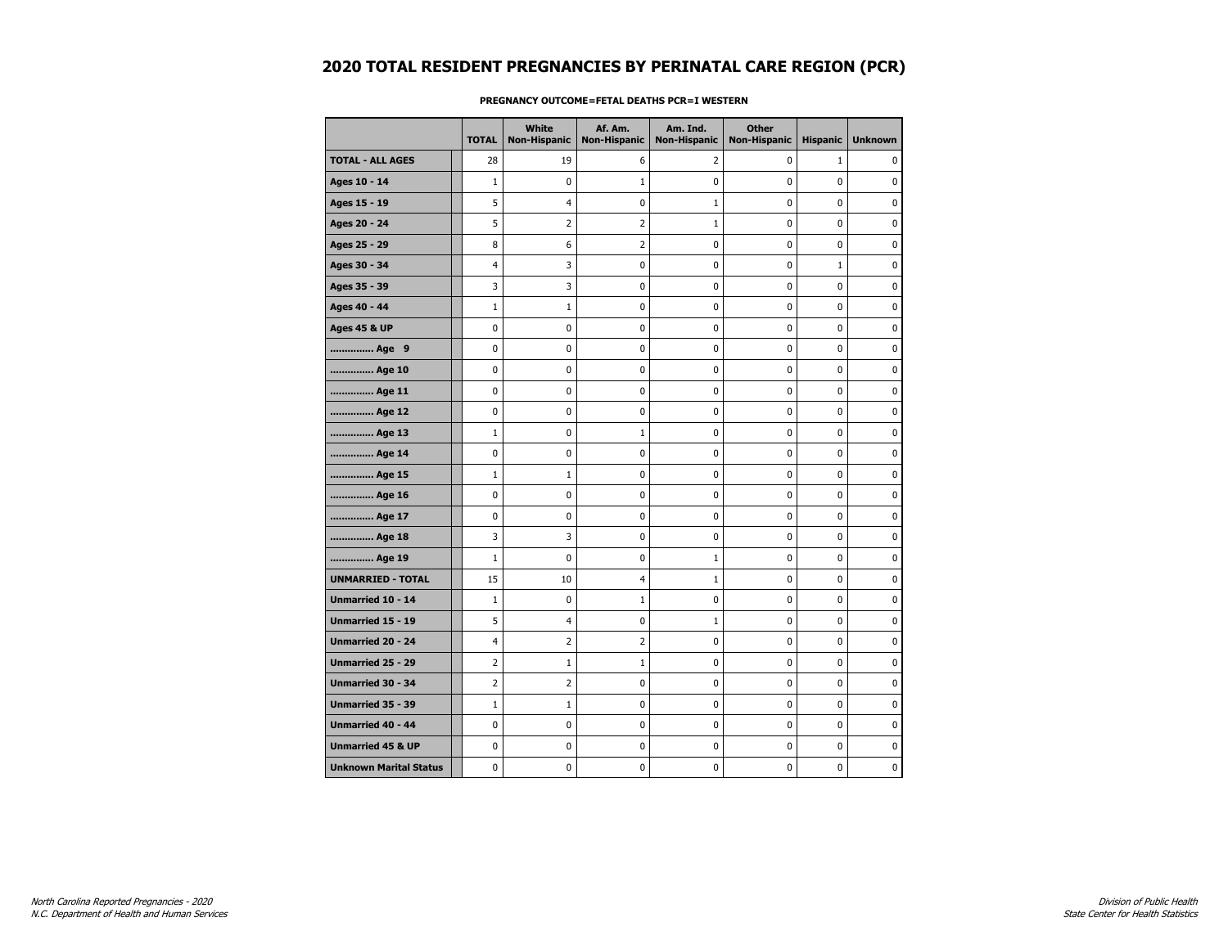|                               | <b>TOTAL</b>   | White<br><b>Non-Hispanic</b> | Af. Am.<br><b>Non-Hispanic</b> | Am. Ind.<br><b>Non-Hispanic</b> | <b>Other</b><br><b>Non-Hispanic</b> | <b>Hispanic</b> | <b>Unknown</b> |
|-------------------------------|----------------|------------------------------|--------------------------------|---------------------------------|-------------------------------------|-----------------|----------------|
| <b>TOTAL - ALL AGES</b>       | 28             | 19                           | 6                              | 2                               | 0                                   | $\mathbf{1}$    | $\Omega$       |
| Ages 10 - 14                  | $1\,$          | $\mathbf 0$                  | 1                              | 0                               | 0                                   | 0               | $\mathbf 0$    |
| Ages 15 - 19                  | 5              | 4                            | 0                              | $\mathbf 1$                     | 0                                   | 0               | 0              |
| Ages 20 - 24                  | 5              | 2                            | 2                              | $\mathbf 1$                     | 0                                   | 0               | 0              |
| Ages 25 - 29                  | 8              | 6                            | $\overline{2}$                 | 0                               | 0                                   | 0               | $\mathbf 0$    |
| Ages 30 - 34                  | 4              | 3                            | 0                              | 0                               | 0                                   | $\mathbf 1$     | $\mathbf 0$    |
| Ages 35 - 39                  | 3              | 3                            | 0                              | 0                               | 0                                   | 0               | 0              |
| Ages 40 - 44                  | $1\,$          | $\mathbf{1}$                 | 0                              | 0                               | 0                                   | 0               | $\pmb{0}$      |
| <b>Ages 45 &amp; UP</b>       | 0              | 0                            | 0                              | 0                               | 0                                   | 0               | 0              |
| Age 9                         | 0              | $\mathbf 0$                  | 0                              | 0                               | 0                                   | 0               | 0              |
| Age 10                        | 0              | $\mathbf 0$                  | 0                              | 0                               | 0                                   | 0               | $\mathbf 0$    |
| Age 11                        | 0              | $\pmb{0}$                    | $\pmb{0}$                      | 0                               | 0                                   | 0               | 0              |
| Age 12                        | 0              | 0                            | 0                              | 0                               | 0                                   | 0               | 0              |
| Age 13                        | $1\,$          | $\mathbf 0$                  | 1                              | 0                               | 0                                   | 0               | 0              |
| Age 14                        | 0              | 0                            | 0                              | 0                               | 0                                   | 0               | $\mathbf 0$    |
| Age 15                        | $1\,$          | $\mathbf{1}$                 | 0                              | 0                               | 0                                   | 0               | 0              |
| Age 16                        | 0              | 0                            | 0                              | 0                               | 0                                   | 0               | 0              |
| Age 17                        | 0              | 0                            | 0                              | 0                               | 0                                   | 0               | $\mathbf 0$    |
| Age 18                        | 3              | 3                            | 0                              | 0                               | 0                                   | 0               | $\mathbf 0$    |
| Age 19                        | $\mathbf 1$    | $\pmb{0}$                    | $\pmb{0}$                      | $\mathbf 1$                     | 0                                   | 0               | $\pmb{0}$      |
| <b>UNMARRIED - TOTAL</b>      | 15             | 10                           | 4                              | $\mathbf 1$                     | 0                                   | 0               | 0              |
| Unmarried 10 - 14             | $1\,$          | $\mathbf 0$                  | 1                              | 0                               | 0                                   | 0               | $\pmb{0}$      |
| Unmarried 15 - 19             | 5              | 4                            | 0                              | $\mathbf{1}$                    | 0                                   | 0               | $\mathbf 0$    |
| Unmarried 20 - 24             | 4              | 2                            | $\overline{2}$                 | 0                               | 0                                   | 0               | 0              |
| Unmarried 25 - 29             | $\overline{2}$ | 1                            | 1                              | 0                               | 0                                   | 0               | 0              |
| Unmarried 30 - 34             | 2              | 2                            | 0                              | 0                               | 0                                   | 0               | $\mathbf 0$    |
| <b>Unmarried 35 - 39</b>      | $1\,$          | $\mathbf{1}$                 | 0                              | 0                               | 0                                   | 0               | $\mathbf 0$    |
| Unmarried 40 - 44             | 0              | 0                            | 0                              | 0                               | 0                                   | 0               | 0              |
| <b>Unmarried 45 &amp; UP</b>  | 0              | 0                            | 0                              | 0                               | 0                                   | 0               | 0              |
| <b>Unknown Marital Status</b> | 0              | 0                            | 0                              | 0                               | 0                                   | 0               | 0              |

### **PREGNANCY OUTCOME=FETAL DEATHS PCR=I WESTERN**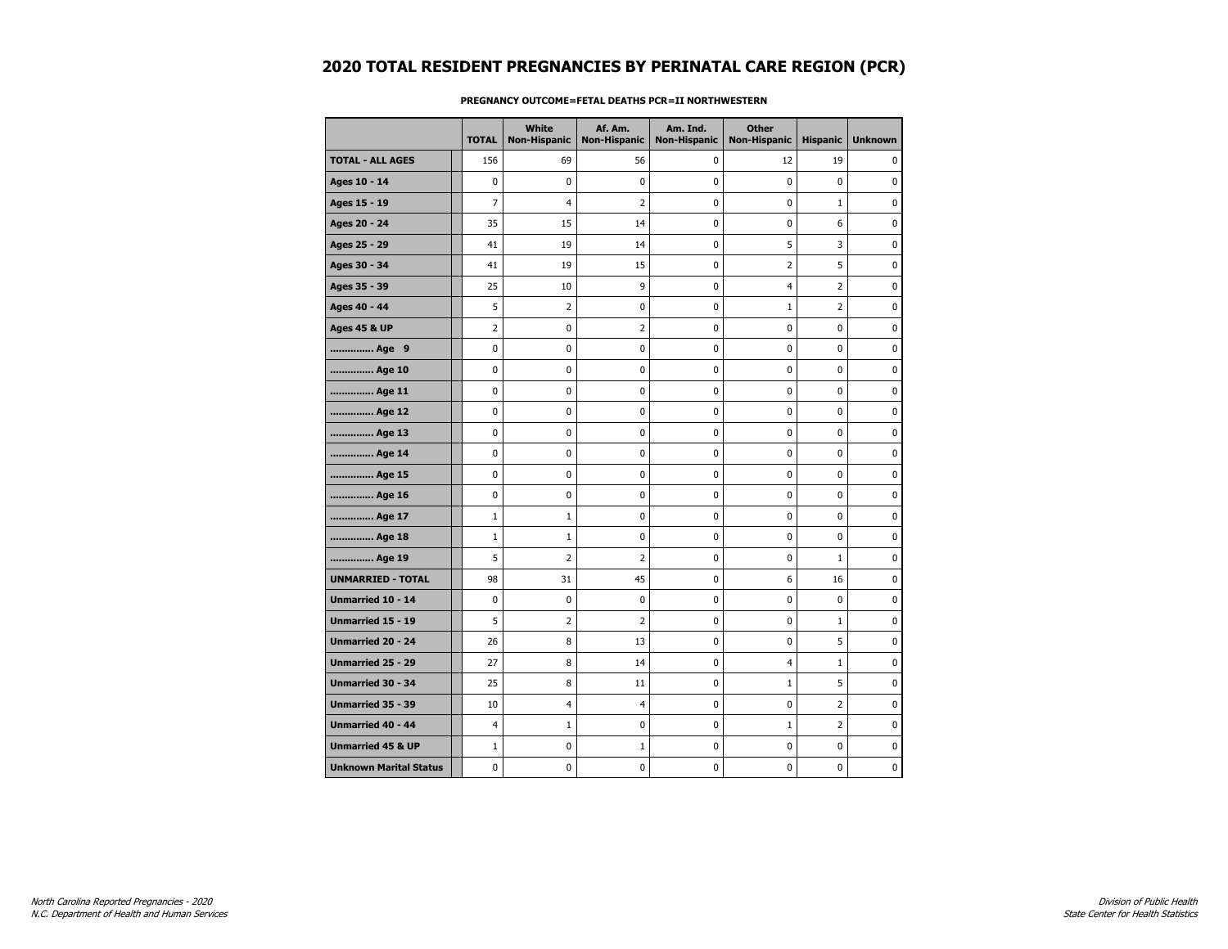|                               | <b>TOTAL</b>   | White<br><b>Non-Hispanic</b> | Af. Am.<br><b>Non-Hispanic</b> | Am. Ind.<br><b>Non-Hispanic</b> | <b>Other</b><br><b>Non-Hispanic</b> | <b>Hispanic</b> | <b>Unknown</b> |
|-------------------------------|----------------|------------------------------|--------------------------------|---------------------------------|-------------------------------------|-----------------|----------------|
| <b>TOTAL - ALL AGES</b>       | 156            | 69                           | 56                             | 0                               | 12                                  | 19              | 0              |
| Ages 10 - 14                  | 0              | 0                            | 0                              | $\mathbf 0$                     | 0                                   | $\mathbf 0$     | $\mathbf 0$    |
| Ages 15 - 19                  | $\overline{7}$ | 4                            | $\overline{2}$                 | 0                               | 0                                   | $\mathbf 1$     | 0              |
| Ages 20 - 24                  | 35             | 15                           | 14                             | 0                               | 0                                   | 6               | 0              |
| Ages 25 - 29                  | 41             | 19                           | 14                             | 0                               | 5                                   | 3               | 0              |
| Ages 30 - 34                  | 41             | 19                           | 15                             | 0                               | $\overline{2}$                      | 5               | $\mathbf 0$    |
| Ages 35 - 39                  | 25             | 10                           | 9                              | 0                               | 4                                   | $\overline{2}$  | $\mathbf 0$    |
| Ages 40 - 44                  | 5              | $\overline{2}$               | $\pmb{0}$                      | 0                               | $\mathbf 1$                         | $\overline{2}$  | $\pmb{0}$      |
| <b>Ages 45 &amp; UP</b>       | 2              | 0                            | 2                              | 0                               | 0                                   | $\mathbf 0$     | 0              |
| Age 9                         | 0              | 0                            | 0                              | 0                               | $\mathbf 0$                         | 0               | 0              |
| Age 10                        | 0              | 0                            | 0                              | 0                               | $\mathbf 0$                         | 0               | $\mathbf 0$    |
| Age 11                        | $\mathbf 0$    | 0                            | 0                              | 0                               | $\bf{0}$                            | $\mathbf 0$     | 0              |
| Age 12                        | 0              | 0                            | 0                              | 0                               | 0                                   | 0               | 0              |
| Age 13                        | 0              | 0                            | 0                              | 0                               | 0                                   | $\mathbf 0$     | 0              |
| Age 14                        | $\mathbf 0$    | 0                            | 0                              | 0                               | 0                                   | $\mathbf 0$     | $\mathbf 0$    |
| Age 15                        | $\mathbf 0$    | 0                            | 0                              | 0                               | $\bf{0}$                            | $\mathbf 0$     | 0              |
| Age 16                        | 0              | 0                            | 0                              | 0                               | 0                                   | 0               | 0              |
| Age 17                        | $\mathbf{1}$   | $\mathbf{1}$                 | 0                              | 0                               | 0                                   | 0               | 0              |
| Age 18                        | $\mathbf{1}$   | $\mathbf{1}$                 | 0                              | 0                               | $\mathbf 0$                         | 0               | $\mathbf 0$    |
| Age 19                        | 5              | $\overline{2}$               | 2                              | 0                               | 0                                   | $\mathbf{1}$    | 0              |
| <b>UNMARRIED - TOTAL</b>      | 98             | 31                           | 45                             | 0                               | 6                                   | 16              | 0              |
| Unmarried 10 - 14             | 0              | 0                            | 0                              | 0                               | 0                                   | $\mathbf 0$     | 0              |
| <b>Unmarried 15 - 19</b>      | 5              | 2                            | $\overline{2}$                 | 0                               | $\mathbf 0$                         | $\mathbf{1}$    | $\mathbf 0$    |
| Unmarried 20 - 24             | 26             | 8                            | 13                             | 0                               | $\bf{0}$                            | 5               | 0              |
| <b>Unmarried 25 - 29</b>      | 27             | 8                            | 14                             | 0                               | 4                                   | $\mathbf 1$     | 0              |
| Unmarried 30 - 34             | 25             | 8                            | 11                             | 0                               | $\mathbf{1}$                        | 5               | 0              |
| Unmarried 35 - 39             | 10             | 4                            | $\overline{4}$                 | 0                               | 0                                   | $\overline{2}$  | $\mathbf 0$    |
| <b>Unmarried 40 - 44</b>      | 4              | $1\,$                        | 0                              | 0                               | $1\,$                               | 2               | 0              |
| <b>Unmarried 45 &amp; UP</b>  | $\mathbf 1$    | 0                            | 1                              | 0                               | 0                                   | $\mathbf 0$     | 0              |
| <b>Unknown Marital Status</b> | 0              | 0                            | 0                              | 0                               | 0                                   | $\mathbf 0$     | 0              |

### **PREGNANCY OUTCOME=FETAL DEATHS PCR=II NORTHWESTERN**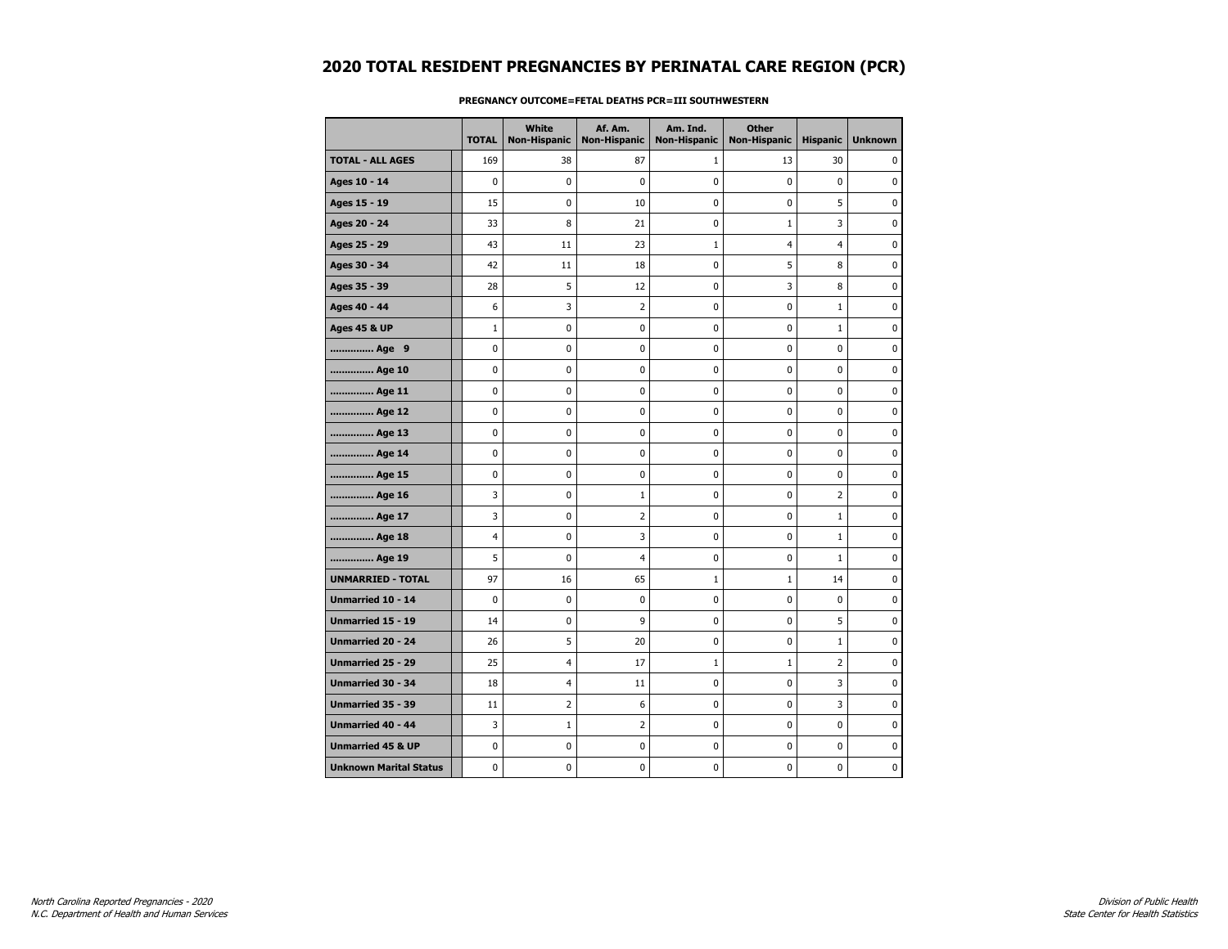|                               | <b>TOTAL</b> | White<br>Non-Hispanic | Af. Am.<br><b>Non-Hispanic</b> | Am. Ind.<br><b>Non-Hispanic</b> | <b>Other</b><br><b>Non-Hispanic</b> | <b>Hispanic</b> | <b>Unknown</b> |
|-------------------------------|--------------|-----------------------|--------------------------------|---------------------------------|-------------------------------------|-----------------|----------------|
| <b>TOTAL - ALL AGES</b>       | 169          | 38                    | 87                             | 1                               | 13                                  | 30              | 0              |
| Ages 10 - 14                  | 0            | 0                     | 0                              | $\mathbf 0$                     | 0                                   | $\mathbf{0}$    | $\mathbf 0$    |
| Ages 15 - 19                  | 15           | 0                     | 10                             | 0                               | $\pmb{0}$                           | 5               | 0              |
| Ages 20 - 24                  | 33           | 8                     | 21                             | 0                               | $\mathbf{1}$                        | 3               | 0              |
| Ages 25 - 29                  | 43           | 11                    | 23                             | $\mathbf 1$                     | 4                                   | $\overline{4}$  | 0              |
| Ages 30 - 34                  | 42           | 11                    | 18                             | 0                               | 5                                   | 8               | 0              |
| Ages 35 - 39                  | 28           | 5                     | 12                             | $\mathbf 0$                     | 3                                   | 8               | 0              |
| Ages 40 - 44                  | 6            | 3                     | $\overline{2}$                 | $\pmb{0}$                       | 0                                   | $\mathbf{1}$    | $\bf{0}$       |
| <b>Ages 45 &amp; UP</b>       | $\mathbf{1}$ | 0                     | 0                              | 0                               | 0                                   | $\mathbf{1}$    | 0              |
| Age 9                         | 0            | 0                     | 0                              | 0                               | 0                                   | $\mathbf 0$     | 0              |
| Age 10                        | 0            | $\mathbf 0$           | 0                              | $\mathbf 0$                     | 0                                   | $\mathbf 0$     | 0              |
| Age 11                        | 0            | 0                     | 0                              | $\pmb{0}$                       | 0                                   | 0               | 0              |
| Age 12                        | 0            | 0                     | 0                              | 0                               | 0                                   | 0               | 0              |
| Age 13                        | 0            | 0                     | 0                              | 0                               | 0                                   | $\mathbf 0$     | 0              |
| Age 14                        | 0            | 0                     | 0                              | $\pmb{0}$                       | 0                                   | $\mathbf 0$     | 0              |
| Age 15                        | 0            | 0                     | $\bf{0}$                       | $\pmb{0}$                       | 0                                   | 0               | $\pmb{0}$      |
| Age 16                        | 3            | 0                     | 1                              | 0                               | 0                                   | $\overline{2}$  | 0              |
| Age 17                        | 3            | 0                     | $\overline{2}$                 | 0                               | 0                                   | $\mathbf{1}$    | 0              |
| Age 18                        | 4            | 0                     | 3                              | $\mathbf 0$                     | $\mathbf 0$                         | $\mathbf{1}$    | $\mathbf 0$    |
| Age 19                        | 5            | 0                     | $\overline{\mathbf{4}}$        | $\pmb{0}$                       | $\pmb{0}$                           | 1               | 0              |
| <b>UNMARRIED - TOTAL</b>      | 97           | 16                    | 65                             | $\mathbf 1$                     | $\mathbf{1}$                        | 14              | 0              |
| Unmarried 10 - 14             | 0            | 0                     | 0                              | 0                               | 0                                   | 0               | 0              |
| <b>Unmarried 15 - 19</b>      | 14           | 0                     | 9                              | $\mathbf 0$                     | 0                                   | 5               | $\mathbf 0$    |
| Unmarried 20 - 24             | 26           | 5                     | 20                             | $\pmb{0}$                       | $\pmb{0}$                           | $\mathbf 1$     | $\pmb{0}$      |
| <b>Unmarried 25 - 29</b>      | 25           | 4                     | 17                             | $\mathbf 1$                     | $\mathbf{1}$                        | $\overline{2}$  | 0              |
| Unmarried 30 - 34             | 18           | 4                     | 11                             | 0                               | 0                                   | 3               | 0              |
| Unmarried 35 - 39             | 11           | 2                     | 6                              | 0                               | 0                                   | 3               | 0              |
| <b>Unmarried 40 - 44</b>      | 3            | $1\,$                 | $\overline{2}$                 | 0                               | 0                                   | 0               | 0              |
| <b>Unmarried 45 &amp; UP</b>  | 0            | 0                     | 0                              | 0                               | 0                                   | $\mathbf 0$     | 0              |
| <b>Unknown Marital Status</b> | 0            | 0                     | 0                              | 0                               | 0                                   | 0               | 0              |

### **PREGNANCY OUTCOME=FETAL DEATHS PCR=III SOUTHWESTERN**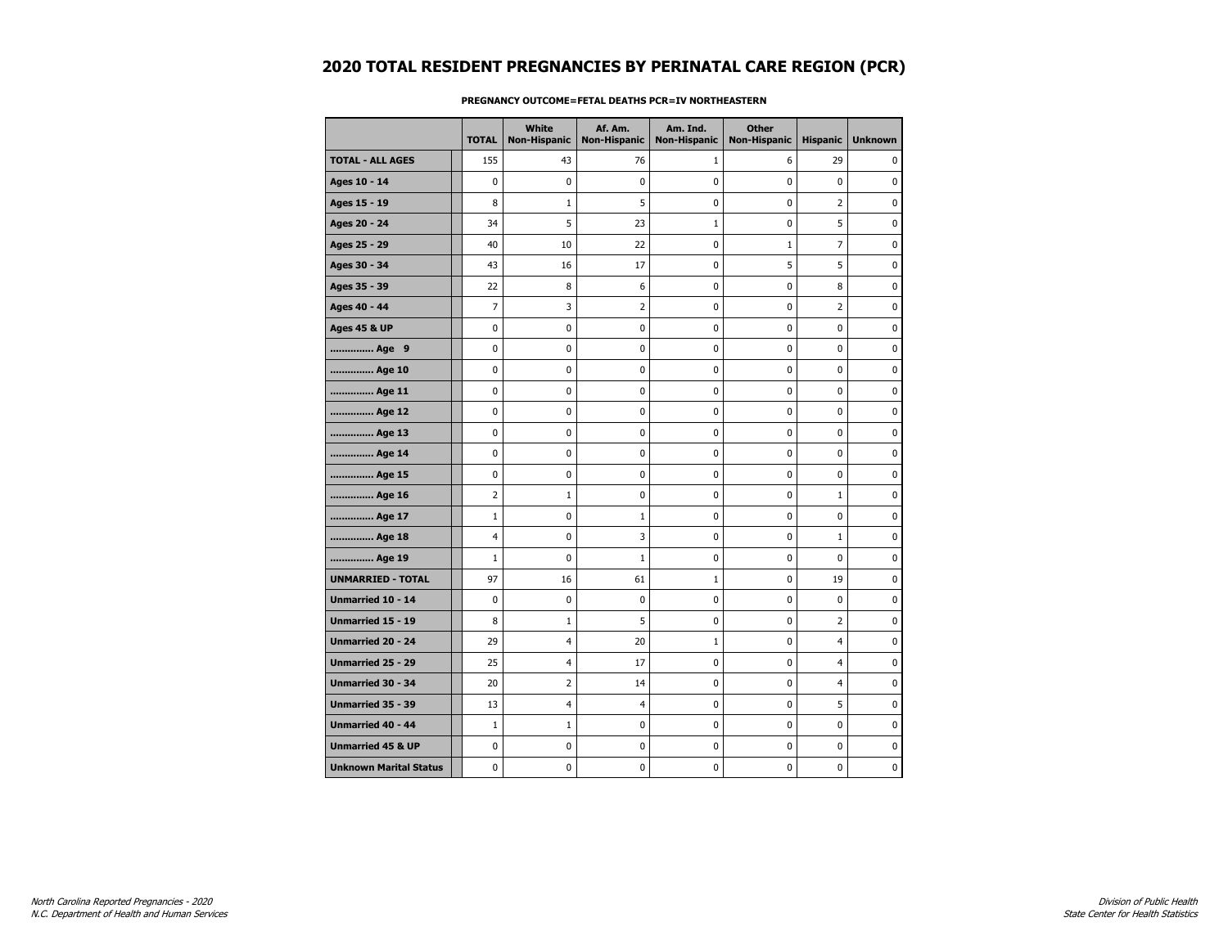|                               | <b>TOTAL</b>   | <b>White</b><br>Non-Hispanic | Af. Am.<br><b>Non-Hispanic</b> | Am. Ind.<br><b>Non-Hispanic</b> | <b>Other</b><br><b>Non-Hispanic</b> | <b>Hispanic</b> | <b>Unknown</b> |
|-------------------------------|----------------|------------------------------|--------------------------------|---------------------------------|-------------------------------------|-----------------|----------------|
| <b>TOTAL - ALL AGES</b>       | 155            | 43                           | 76                             | 1                               | 6                                   | 29              | 0              |
| Ages 10 - 14                  | $\mathbf 0$    | 0                            | $\mathbf 0$                    | $\mathbf 0$                     | 0                                   | $\mathbf 0$     | $\mathbf 0$    |
| Ages 15 - 19                  | 8              | $\mathbf{1}$                 | 5                              | 0                               | 0                                   | $\overline{2}$  | 0              |
| Ages 20 - 24                  | 34             | 5                            | 23                             | $\mathbf{1}$                    | 0                                   | 5               | 0              |
| Ages 25 - 29                  | 40             | 10                           | 22                             | 0                               | $1\,$                               | 7               | $\mathbf 0$    |
| Ages 30 - 34                  | 43             | 16                           | 17                             | 0                               | 5                                   | 5               | $\mathbf 0$    |
| Ages 35 - 39                  | 22             | 8                            | 6                              | 0                               | 0                                   | 8               | $\mathbf 0$    |
| Ages 40 - 44                  | $\overline{7}$ | 3                            | $\overline{2}$                 | 0                               | 0                                   | $\overline{2}$  | $\pmb{0}$      |
| <b>Ages 45 &amp; UP</b>       | 0              | 0                            | 0                              | 0                               | 0                                   | 0               | 0              |
| Age 9                         | $\mathbf 0$    | 0                            | $\mathbf 0$                    | 0                               | 0                                   | 0               | 0              |
| Age 10                        | $\mathbf 0$    | 0                            | 0                              | 0                               | 0                                   | 0               | $\mathbf 0$    |
| Age 11                        | $\pmb{0}$      | 0                            | 0                              | 0                               | 0                                   | 0               | $\pmb{0}$      |
| Age 12                        | 0              | 0                            | 0                              | 0                               | 0                                   | 0               | 0              |
| Age 13                        | 0              | 0                            | 0                              | 0                               | 0                                   | 0               | 0              |
| Age 14                        | $\mathbf 0$    | 0                            | 0                              | 0                               | 0                                   | 0               | $\mathbf 0$    |
| Age 15                        | 0              | 0                            | 0                              | 0                               | 0                                   | 0               | $\pmb{0}$      |
| Age 16                        | 2              | $\mathbf{1}$                 | 0                              | 0                               | 0                                   | $\mathbf 1$     | 0              |
| Age 17                        | $\mathbf{1}$   | 0                            | 1                              | 0                               | 0                                   | 0               | 0              |
| Age 18                        | 4              | 0                            | 3                              | $\mathbf 0$                     | 0                                   | $\mathbf{1}$    | $\mathbf 0$    |
| Age 19                        | $\mathbf 1$    | 0                            | $\mathbf 1$                    | 0                               | 0                                   | 0               | 0              |
| <b>UNMARRIED - TOTAL</b>      | 97             | 16                           | 61                             | 1                               | 0                                   | 19              | 0              |
| Unmarried 10 - 14             | $\mathbf 0$    | 0                            | 0                              | 0                               | 0                                   | 0               | 0              |
| <b>Unmarried 15 - 19</b>      | 8              | $\mathbf{1}$                 | 5                              | 0                               | 0                                   | $\overline{2}$  | $\mathbf 0$    |
| Unmarried 20 - 24             | 29             | $\overline{\mathcal{A}}$     | 20                             | 1                               | 0                                   | $\overline{4}$  | 0              |
| <b>Unmarried 25 - 29</b>      | 25             | $\overline{\mathcal{A}}$     | 17                             | 0                               | 0                                   | $\overline{4}$  | 0              |
| Unmarried 30 - 34             | 20             | $\overline{2}$               | 14                             | 0                               | 0                                   | $\overline{4}$  | 0              |
| Unmarried 35 - 39             | 13             | $\overline{4}$               | 4                              | 0                               | 0                                   | 5               | 0              |
| <b>Unmarried 40 - 44</b>      | $\mathbf{1}$   | $1\,$                        | 0                              | 0                               | 0                                   | 0               | 0              |
| <b>Unmarried 45 &amp; UP</b>  | $\pmb{0}$      | 0                            | 0                              | 0                               | 0                                   | 0               | $\pmb{0}$      |
| <b>Unknown Marital Status</b> | 0              | 0                            | 0                              | 0                               | 0                                   | 0               | 0              |

### **PREGNANCY OUTCOME=FETAL DEATHS PCR=IV NORTHEASTERN**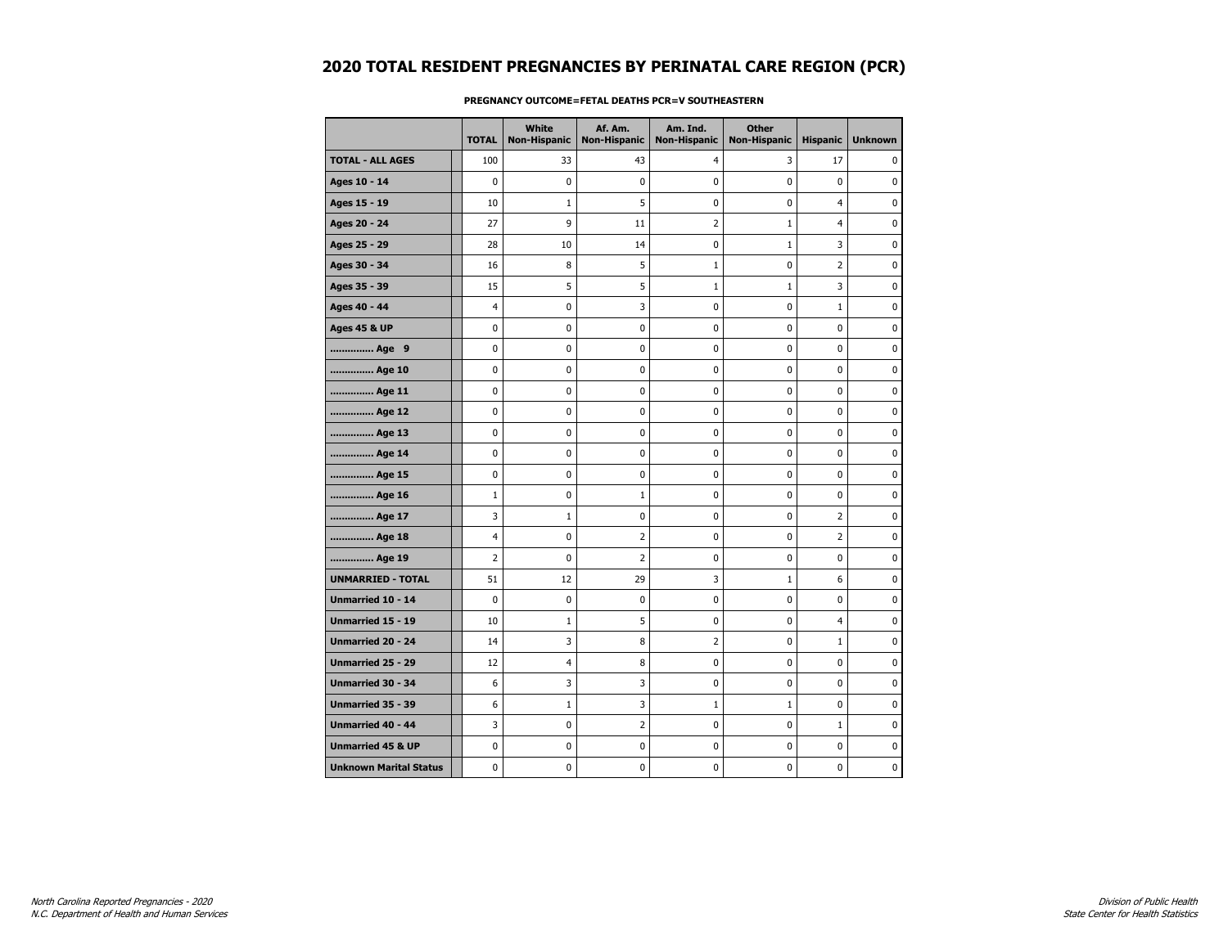|                               | <b>TOTAL</b>   | White<br><b>Non-Hispanic</b> | Af. Am.<br><b>Non-Hispanic</b> | Am. Ind.<br><b>Non-Hispanic</b> | <b>Other</b><br><b>Non-Hispanic</b> | <b>Hispanic</b> | <b>Unknown</b> |
|-------------------------------|----------------|------------------------------|--------------------------------|---------------------------------|-------------------------------------|-----------------|----------------|
| <b>TOTAL - ALL AGES</b>       | 100            | 33                           | 43                             | $\overline{4}$                  | 3                                   | 17              | 0              |
| Ages 10 - 14                  | 0              | $\mathbf 0$                  | 0                              | 0                               | 0                                   | $\mathbf 0$     | $\mathbf 0$    |
| Ages 15 - 19                  | 10             | $\mathbf{1}$                 | 5                              | 0                               | 0                                   | $\overline{4}$  | 0              |
| Ages 20 - 24                  | 27             | 9                            | 11                             | 2                               | $1\,$                               | $\overline{4}$  | 0              |
| Ages 25 - 29                  | 28             | 10                           | 14                             | 0                               | $1\,$                               | 3               | $\mathbf 0$    |
| Ages 30 - 34                  | 16             | 8                            | 5                              | $\mathbf{1}$                    | 0                                   | $\overline{2}$  | $\mathbf 0$    |
| Ages 35 - 39                  | 15             | 5                            | 5                              | $\mathbf{1}$                    | $\mathbf{1}$                        | 3               | $\mathbf 0$    |
| Ages 40 - 44                  | 4              | $\pmb{0}$                    | 3                              | 0                               | 0                                   | $\mathbf 1$     | $\pmb{0}$      |
| <b>Ages 45 &amp; UP</b>       | 0              | 0                            | 0                              | 0                               | 0                                   | 0               | 0              |
| Age 9                         | 0              | 0                            | 0                              | 0                               | 0                                   | 0               | 0              |
| Age 10                        | 0              | $\mathbf 0$                  | 0                              | 0                               | 0                                   | 0               | $\mathbf 0$    |
| Age 11                        | 0              | $\pmb{0}$                    | $\pmb{0}$                      | 0                               | 0                                   | 0               | $\pmb{0}$      |
| Age 12                        | 0              | 0                            | 0                              | 0                               | 0                                   | 0               | 0              |
| Age 13                        | 0              | $\mathbf 0$                  | 0                              | 0                               | 0                                   | 0               | $\mathbf 0$    |
| Age 14                        | 0              | 0                            | 0                              | 0                               | 0                                   | 0               | $\mathbf 0$    |
| Age 15                        | 0              | 0                            | 0                              | 0                               | 0                                   | 0               | $\pmb{0}$      |
| Age 16                        | $\mathbf 1$    | 0                            | 1                              | 0                               | 0                                   | 0               | 0              |
| Age 17                        | 3              | $\mathbf{1}$                 | 0                              | 0                               | 0                                   | $\overline{2}$  | 0              |
| Age 18                        | 4              | $\mathbf 0$                  | $\overline{2}$                 | 0                               | 0                                   | $\overline{2}$  | $\mathbf 0$    |
| Age 19                        | $\overline{2}$ | $\pmb{0}$                    | 2                              | 0                               | 0                                   | 0               | 0              |
| <b>UNMARRIED - TOTAL</b>      | 51             | 12                           | 29                             | 3                               | $1\,$                               | 6               | 0              |
| Unmarried 10 - 14             | 0              | 0                            | 0                              | 0                               | 0                                   | 0               | $\mathbf 0$    |
| Unmarried 15 - 19             | 10             | $\mathbf{1}$                 | 5                              | 0                               | 0                                   | $\overline{4}$  | $\mathbf 0$    |
| Unmarried 20 - 24             | 14             | 3                            | 8                              | 2                               | 0                                   | $\mathbf 1$     | $\pmb{0}$      |
| <b>Unmarried 25 - 29</b>      | 12             | 4                            | 8                              | 0                               | 0                                   | 0               | 0              |
| Unmarried 30 - 34             | 6              | 3                            | 3                              | 0                               | 0                                   | 0               | 0              |
| Unmarried 35 - 39             | 6              | $\mathbf{1}$                 | 3                              | $\mathbf{1}$                    | $\mathbf{1}$                        | 0               | $\mathbf 0$    |
| <b>Unmarried 40 - 44</b>      | 3              | 0                            | 2                              | 0                               | 0                                   | $\mathbf 1$     | 0              |
| <b>Unmarried 45 &amp; UP</b>  | 0              | 0                            | 0                              | 0                               | 0                                   | 0               | 0              |
| <b>Unknown Marital Status</b> | 0              | 0                            | 0                              | 0                               | 0                                   | 0               | 0              |

### **PREGNANCY OUTCOME=FETAL DEATHS PCR=V SOUTHEASTERN**